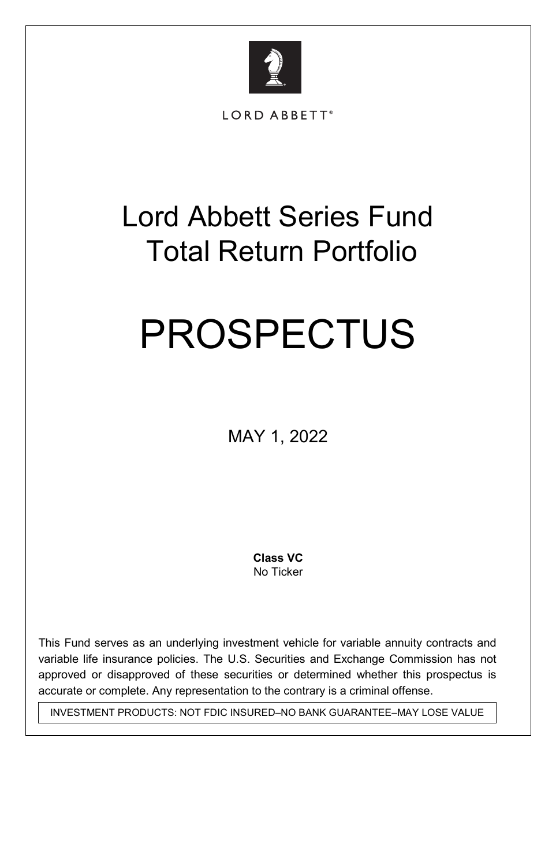

LORD ABBETT®

# Lord Abbett Series Fund Total Return Portfolio

# PROSPECTUS

MAY 1, 2022

 **Class VC**  No Ticker

This Fund serves as an underlying investment vehicle for variable annuity contracts and variable life insurance policies. The U.S. Securities and Exchange Commission has not approved or disapproved of these securities or determined whether this prospectus is accurate or complete. Any representation to the contrary is a criminal offense.

INVESTMENT PRODUCTS: NOT FDIC INSURED–NO BANK GUARANTEE–MAY LOSE VALUE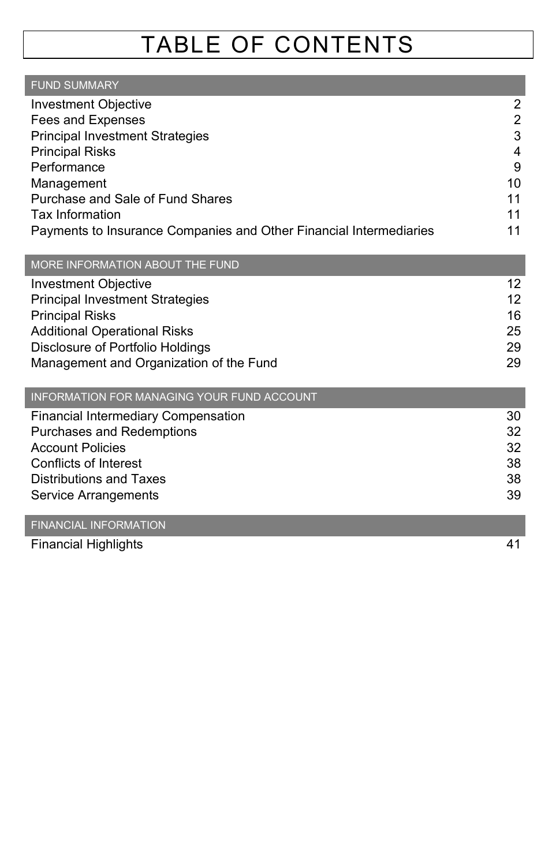# TABLE OF CONTENTS

| <b>FUND SUMMARY</b>                                                |    |
|--------------------------------------------------------------------|----|
| Investment Objective                                               | 2  |
| Fees and Expenses                                                  | 2  |
| <b>Principal Investment Strategies</b>                             | 3  |
| <b>Principal Risks</b>                                             | 4  |
| Performance                                                        | 9  |
| Management                                                         | 10 |
| Purchase and Sale of Fund Shares                                   | 11 |
| Tax Information                                                    | 11 |
| Payments to Insurance Companies and Other Financial Intermediaries | 11 |

| MORE INFORMATION ABOUT THE FUND |
|---------------------------------|
|---------------------------------|

| 12 |
|----|
| 12 |
| 16 |
| 25 |
| 29 |
| 29 |
|    |

| INFORMATION FOR MANAGING YOUR FUND ACCOUNT |    |
|--------------------------------------------|----|
| Financial Intermediary Compensation        | 30 |
| Purchases and Redemptions                  | 32 |
| <b>Account Policies</b>                    | 32 |
| Conflicts of Interest                      | 38 |
| <b>Distributions and Taxes</b>             | 38 |
| Service Arrangements                       | 39 |

#### FINANCIAL INFORMATION

Financial Highlights 41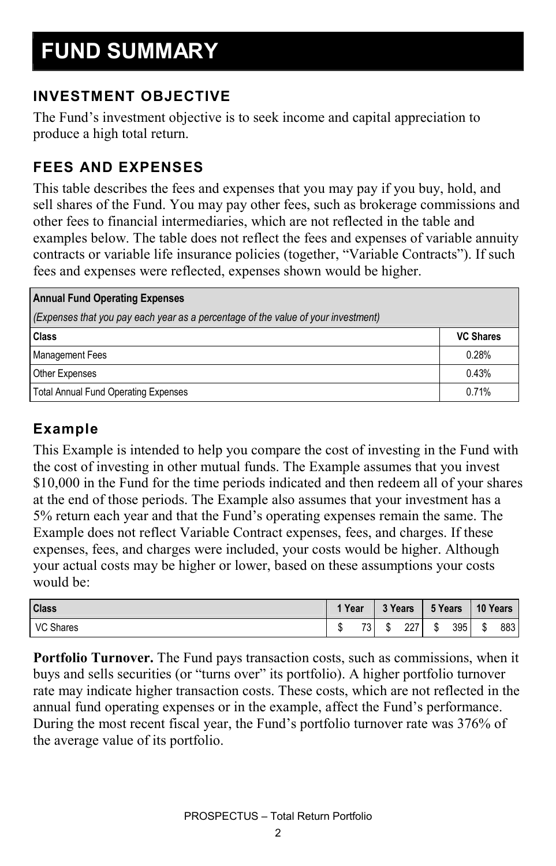#### **INVESTMENT OBJECTIVE**

The Fund's investment objective is to seek income and capital appreciation to produce a high total return.

#### **FEES AND EXPENSES**

This table describes the fees and expenses that you may pay if you buy, hold, and sell shares of the Fund. You may pay other fees, such as brokerage commissions and other fees to financial intermediaries, which are not reflected in the table and examples below. The table does not reflect the fees and expenses of variable annuity contracts or variable life insurance policies (together, "Variable Contracts"). If such fees and expenses were reflected, expenses shown would be higher.

| <b>Annual Fund Operating Expenses</b>                                             |                  |  |  |  |  |
|-----------------------------------------------------------------------------------|------------------|--|--|--|--|
| (Expenses that you pay each year as a percentage of the value of your investment) |                  |  |  |  |  |
| Class                                                                             | <b>VC Shares</b> |  |  |  |  |
| <b>Management Fees</b>                                                            | 0.28%            |  |  |  |  |
| <b>Other Expenses</b>                                                             | 0.43%            |  |  |  |  |
| <b>Total Annual Fund Operating Expenses</b>                                       | 0.71%            |  |  |  |  |

#### **Example**

This Example is intended to help you compare the cost of investing in the Fund with the cost of investing in other mutual funds. The Example assumes that you invest \$10,000 in the Fund for the time periods indicated and then redeem all of your shares at the end of those periods. The Example also assumes that your investment has a 5% return each year and that the Fund's operating expenses remain the same. The Example does not reflect Variable Contract expenses, fees, and charges. If these expenses, fees, and charges were included, your costs would be higher. Although your actual costs may be higher or lower, based on these assumptions your costs would be:

| <b>Class</b>     | 1 Year |                    | 3 Years |     | 5 Years          |     | 10 Years |     |
|------------------|--------|--------------------|---------|-----|------------------|-----|----------|-----|
| <b>VC Shares</b> |        | <b>72 L</b><br>د ا | ۰IJ     | 227 | $\triangle$<br>ъ | 395 | œ<br>Œ   | 883 |

**Portfolio Turnover.** The Fund pays transaction costs, such as commissions, when it buys and sells securities (or "turns over" its portfolio). A higher portfolio turnover rate may indicate higher transaction costs. These costs, which are not reflected in the annual fund operating expenses or in the example, affect the Fund's performance. During the most recent fiscal year, the Fund's portfolio turnover rate was 376% of the average value of its portfolio.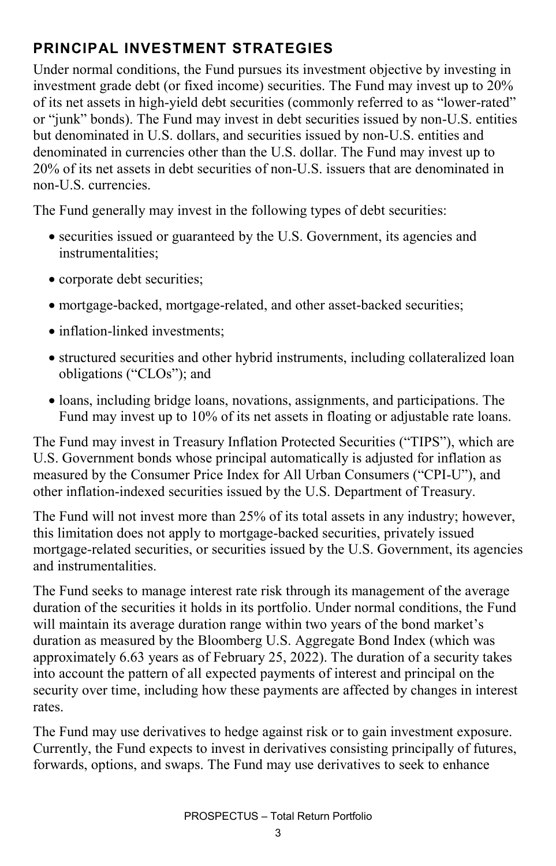#### **PRINCIPAL INVESTMENT STRATEGIES**

Under normal conditions, the Fund pursues its investment objective by investing in investment grade debt (or fixed income) securities. The Fund may invest up to 20% of its net assets in high-yield debt securities (commonly referred to as "lower-rated" or "junk" bonds). The Fund may invest in debt securities issued by non-U.S. entities but denominated in U.S. dollars, and securities issued by non-U.S. entities and denominated in currencies other than the U.S. dollar. The Fund may invest up to 20% of its net assets in debt securities of non-U.S. issuers that are denominated in non-U.S. currencies.

The Fund generally may invest in the following types of debt securities:

- securities issued or guaranteed by the U.S. Government, its agencies and instrumentalities;
- corporate debt securities;
- mortgage-backed, mortgage-related, and other asset-backed securities;
- inflation-linked investments:
- structured securities and other hybrid instruments, including collateralized loan obligations ("CLOs"); and
- loans, including bridge loans, novations, assignments, and participations. The Fund may invest up to 10% of its net assets in floating or adjustable rate loans.

The Fund may invest in Treasury Inflation Protected Securities ("TIPS"), which are U.S. Government bonds whose principal automatically is adjusted for inflation as measured by the Consumer Price Index for All Urban Consumers ("CPI-U"), and other inflation-indexed securities issued by the U.S. Department of Treasury.

The Fund will not invest more than 25% of its total assets in any industry; however, this limitation does not apply to mortgage-backed securities, privately issued mortgage-related securities, or securities issued by the U.S. Government, its agencies and instrumentalities.

The Fund seeks to manage interest rate risk through its management of the average duration of the securities it holds in its portfolio. Under normal conditions, the Fund will maintain its average duration range within two years of the bond market's duration as measured by the Bloomberg U.S. Aggregate Bond Index (which was approximately 6.63 years as of February 25, 2022). The duration of a security takes into account the pattern of all expected payments of interest and principal on the security over time, including how these payments are affected by changes in interest rates.

The Fund may use derivatives to hedge against risk or to gain investment exposure. Currently, the Fund expects to invest in derivatives consisting principally of futures, forwards, options, and swaps. The Fund may use derivatives to seek to enhance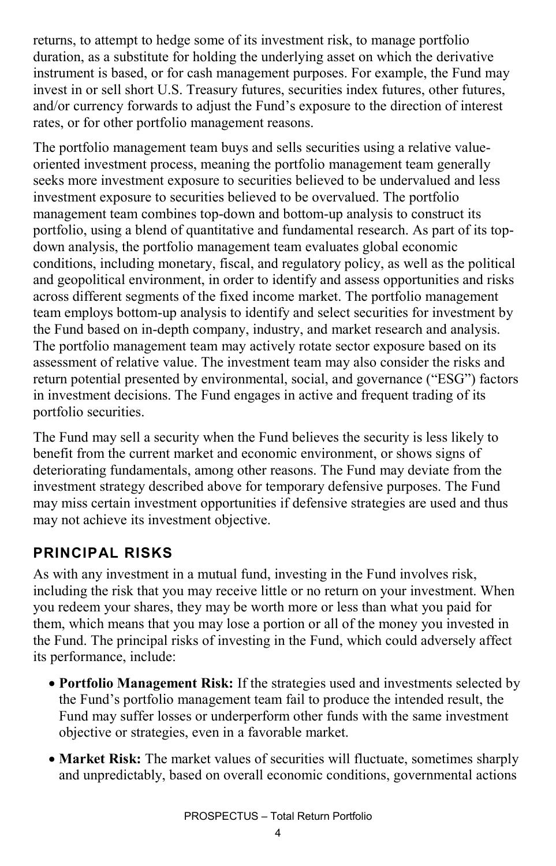returns, to attempt to hedge some of its investment risk, to manage portfolio duration, as a substitute for holding the underlying asset on which the derivative instrument is based, or for cash management purposes. For example, the Fund may invest in or sell short U.S. Treasury futures, securities index futures, other futures, and/or currency forwards to adjust the Fund's exposure to the direction of interest rates, or for other portfolio management reasons.

The portfolio management team buys and sells securities using a relative valueoriented investment process, meaning the portfolio management team generally seeks more investment exposure to securities believed to be undervalued and less investment exposure to securities believed to be overvalued. The portfolio management team combines top-down and bottom-up analysis to construct its portfolio, using a blend of quantitative and fundamental research. As part of its topdown analysis, the portfolio management team evaluates global economic conditions, including monetary, fiscal, and regulatory policy, as well as the political and geopolitical environment, in order to identify and assess opportunities and risks across different segments of the fixed income market. The portfolio management team employs bottom-up analysis to identify and select securities for investment by the Fund based on in-depth company, industry, and market research and analysis. The portfolio management team may actively rotate sector exposure based on its assessment of relative value. The investment team may also consider the risks and return potential presented by environmental, social, and governance ("ESG") factors in investment decisions. The Fund engages in active and frequent trading of its portfolio securities.

The Fund may sell a security when the Fund believes the security is less likely to benefit from the current market and economic environment, or shows signs of deteriorating fundamentals, among other reasons. The Fund may deviate from the investment strategy described above for temporary defensive purposes. The Fund may miss certain investment opportunities if defensive strategies are used and thus may not achieve its investment objective.

#### **PRINCIPAL RISKS**

As with any investment in a mutual fund, investing in the Fund involves risk, including the risk that you may receive little or no return on your investment. When you redeem your shares, they may be worth more or less than what you paid for them, which means that you may lose a portion or all of the money you invested in the Fund. The principal risks of investing in the Fund, which could adversely affect its performance, include:

- **Portfolio Management Risk:** If the strategies used and investments selected by the Fund's portfolio management team fail to produce the intended result, the Fund may suffer losses or underperform other funds with the same investment objective or strategies, even in a favorable market.
- **Market Risk:** The market values of securities will fluctuate, sometimes sharply and unpredictably, based on overall economic conditions, governmental actions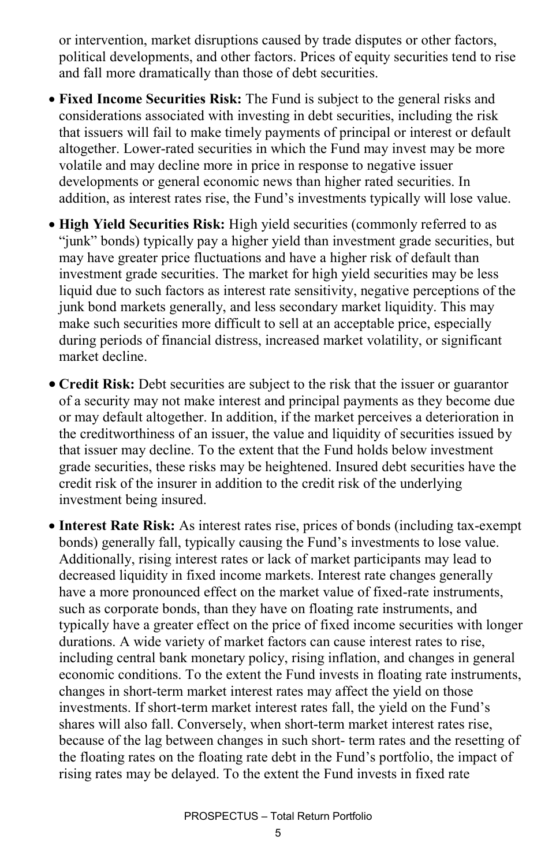or intervention, market disruptions caused by trade disputes or other factors, political developments, and other factors. Prices of equity securities tend to rise and fall more dramatically than those of debt securities.

- **Fixed Income Securities Risk:** The Fund is subject to the general risks and considerations associated with investing in debt securities, including the risk that issuers will fail to make timely payments of principal or interest or default altogether. Lower-rated securities in which the Fund may invest may be more volatile and may decline more in price in response to negative issuer developments or general economic news than higher rated securities. In addition, as interest rates rise, the Fund's investments typically will lose value.
- **High Yield Securities Risk:** High yield securities (commonly referred to as "junk" bonds) typically pay a higher yield than investment grade securities, but may have greater price fluctuations and have a higher risk of default than investment grade securities. The market for high yield securities may be less liquid due to such factors as interest rate sensitivity, negative perceptions of the junk bond markets generally, and less secondary market liquidity. This may make such securities more difficult to sell at an acceptable price, especially during periods of financial distress, increased market volatility, or significant market decline.
- **Credit Risk:** Debt securities are subject to the risk that the issuer or guarantor of a security may not make interest and principal payments as they become due or may default altogether. In addition, if the market perceives a deterioration in the creditworthiness of an issuer, the value and liquidity of securities issued by that issuer may decline. To the extent that the Fund holds below investment grade securities, these risks may be heightened. Insured debt securities have the credit risk of the insurer in addition to the credit risk of the underlying investment being insured.
- **Interest Rate Risk:** As interest rates rise, prices of bonds (including tax-exempt bonds) generally fall, typically causing the Fund's investments to lose value. Additionally, rising interest rates or lack of market participants may lead to decreased liquidity in fixed income markets. Interest rate changes generally have a more pronounced effect on the market value of fixed-rate instruments, such as corporate bonds, than they have on floating rate instruments, and typically have a greater effect on the price of fixed income securities with longer durations. A wide variety of market factors can cause interest rates to rise, including central bank monetary policy, rising inflation, and changes in general economic conditions. To the extent the Fund invests in floating rate instruments, changes in short-term market interest rates may affect the yield on those investments. If short-term market interest rates fall, the yield on the Fund's shares will also fall. Conversely, when short-term market interest rates rise, because of the lag between changes in such short- term rates and the resetting of the floating rates on the floating rate debt in the Fund's portfolio, the impact of rising rates may be delayed. To the extent the Fund invests in fixed rate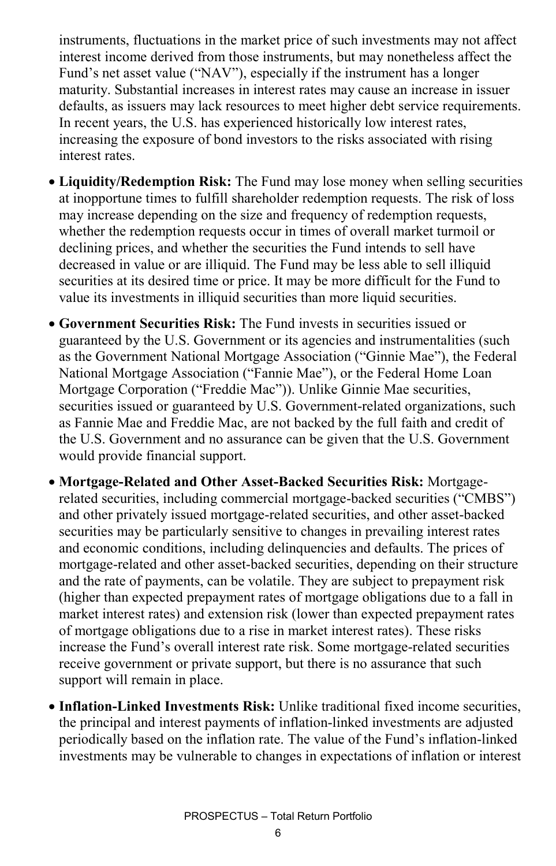instruments, fluctuations in the market price of such investments may not affect interest income derived from those instruments, but may nonetheless affect the Fund's net asset value ("NAV"), especially if the instrument has a longer maturity. Substantial increases in interest rates may cause an increase in issuer defaults, as issuers may lack resources to meet higher debt service requirements. In recent years, the U.S. has experienced historically low interest rates, increasing the exposure of bond investors to the risks associated with rising interest rates.

- **Liquidity/Redemption Risk:** The Fund may lose money when selling securities at inopportune times to fulfill shareholder redemption requests. The risk of loss may increase depending on the size and frequency of redemption requests, whether the redemption requests occur in times of overall market turmoil or declining prices, and whether the securities the Fund intends to sell have decreased in value or are illiquid. The Fund may be less able to sell illiquid securities at its desired time or price. It may be more difficult for the Fund to value its investments in illiquid securities than more liquid securities.
- **Government Securities Risk:** The Fund invests in securities issued or guaranteed by the U.S. Government or its agencies and instrumentalities (such as the Government National Mortgage Association ("Ginnie Mae"), the Federal National Mortgage Association ("Fannie Mae"), or the Federal Home Loan Mortgage Corporation ("Freddie Mac")). Unlike Ginnie Mae securities, securities issued or guaranteed by U.S. Government-related organizations, such as Fannie Mae and Freddie Mac, are not backed by the full faith and credit of the U.S. Government and no assurance can be given that the U.S. Government would provide financial support.
- **Mortgage-Related and Other Asset-Backed Securities Risk:** Mortgagerelated securities, including commercial mortgage-backed securities ("CMBS") and other privately issued mortgage-related securities, and other asset-backed securities may be particularly sensitive to changes in prevailing interest rates and economic conditions, including delinquencies and defaults. The prices of mortgage-related and other asset-backed securities, depending on their structure and the rate of payments, can be volatile. They are subject to prepayment risk (higher than expected prepayment rates of mortgage obligations due to a fall in market interest rates) and extension risk (lower than expected prepayment rates of mortgage obligations due to a rise in market interest rates). These risks increase the Fund's overall interest rate risk. Some mortgage-related securities receive government or private support, but there is no assurance that such support will remain in place.
- **Inflation-Linked Investments Risk:** Unlike traditional fixed income securities, the principal and interest payments of inflation-linked investments are adjusted periodically based on the inflation rate. The value of the Fund's inflation-linked investments may be vulnerable to changes in expectations of inflation or interest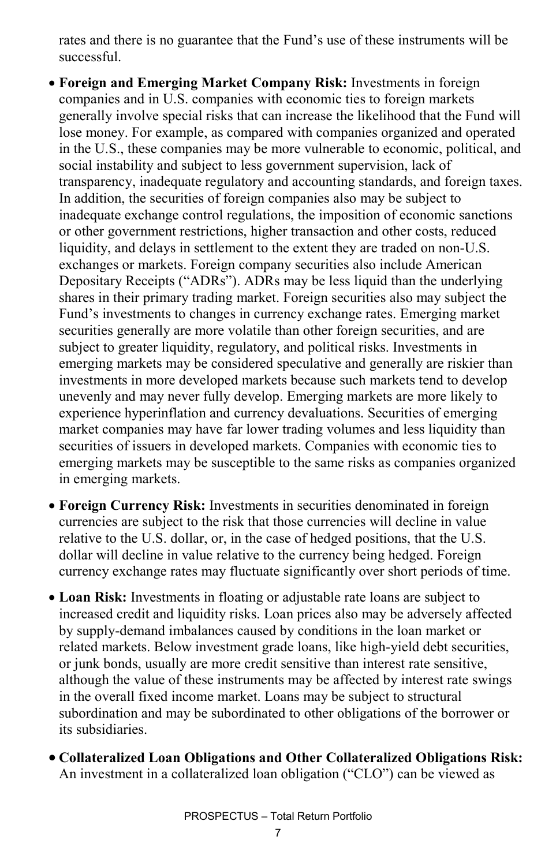rates and there is no guarantee that the Fund's use of these instruments will be successful.

• **Foreign and Emerging Market Company Risk:** Investments in foreign companies and in U.S. companies with economic ties to foreign markets generally involve special risks that can increase the likelihood that the Fund will lose money. For example, as compared with companies organized and operated in the U.S., these companies may be more vulnerable to economic, political, and social instability and subject to less government supervision, lack of transparency, inadequate regulatory and accounting standards, and foreign taxes. In addition, the securities of foreign companies also may be subject to inadequate exchange control regulations, the imposition of economic sanctions or other government restrictions, higher transaction and other costs, reduced liquidity, and delays in settlement to the extent they are traded on non-U.S. exchanges or markets. Foreign company securities also include American Depositary Receipts ("ADRs"). ADRs may be less liquid than the underlying shares in their primary trading market. Foreign securities also may subject the Fund's investments to changes in currency exchange rates. Emerging market securities generally are more volatile than other foreign securities, and are subject to greater liquidity, regulatory, and political risks. Investments in emerging markets may be considered speculative and generally are riskier than investments in more developed markets because such markets tend to develop unevenly and may never fully develop. Emerging markets are more likely to experience hyperinflation and currency devaluations. Securities of emerging market companies may have far lower trading volumes and less liquidity than securities of issuers in developed markets. Companies with economic ties to emerging markets may be susceptible to the same risks as companies organized in emerging markets.

- **Foreign Currency Risk:** Investments in securities denominated in foreign currencies are subject to the risk that those currencies will decline in value relative to the U.S. dollar, or, in the case of hedged positions, that the U.S. dollar will decline in value relative to the currency being hedged. Foreign currency exchange rates may fluctuate significantly over short periods of time.
- **Loan Risk:** Investments in floating or adjustable rate loans are subject to increased credit and liquidity risks. Loan prices also may be adversely affected by supply-demand imbalances caused by conditions in the loan market or related markets. Below investment grade loans, like high-yield debt securities, or junk bonds, usually are more credit sensitive than interest rate sensitive, although the value of these instruments may be affected by interest rate swings in the overall fixed income market. Loans may be subject to structural subordination and may be subordinated to other obligations of the borrower or its subsidiaries.
- **Collateralized Loan Obligations and Other Collateralized Obligations Risk:** An investment in a collateralized loan obligation ("CLO") can be viewed as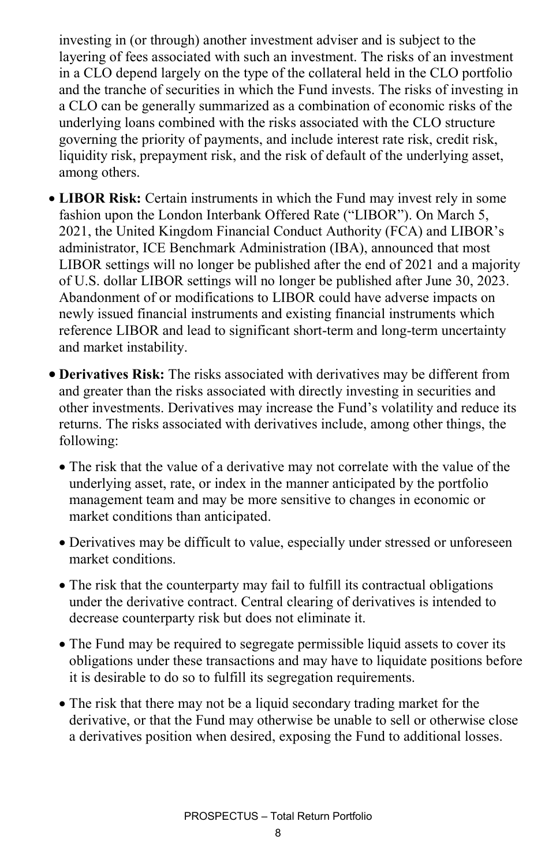investing in (or through) another investment adviser and is subject to the layering of fees associated with such an investment. The risks of an investment in a CLO depend largely on the type of the collateral held in the CLO portfolio and the tranche of securities in which the Fund invests. The risks of investing in a CLO can be generally summarized as a combination of economic risks of the underlying loans combined with the risks associated with the CLO structure governing the priority of payments, and include interest rate risk, credit risk, liquidity risk, prepayment risk, and the risk of default of the underlying asset, among others.

- **LIBOR Risk:** Certain instruments in which the Fund may invest rely in some fashion upon the London Interbank Offered Rate ("LIBOR"). On March 5, 2021, the United Kingdom Financial Conduct Authority (FCA) and LIBOR's administrator, ICE Benchmark Administration (IBA), announced that most LIBOR settings will no longer be published after the end of 2021 and a majority of U.S. dollar LIBOR settings will no longer be published after June 30, 2023. Abandonment of or modifications to LIBOR could have adverse impacts on newly issued financial instruments and existing financial instruments which reference LIBOR and lead to significant short-term and long-term uncertainty and market instability.
- **Derivatives Risk:** The risks associated with derivatives may be different from and greater than the risks associated with directly investing in securities and other investments. Derivatives may increase the Fund's volatility and reduce its returns. The risks associated with derivatives include, among other things, the following:
	- The risk that the value of a derivative may not correlate with the value of the underlying asset, rate, or index in the manner anticipated by the portfolio management team and may be more sensitive to changes in economic or market conditions than anticipated.
	- Derivatives may be difficult to value, especially under stressed or unforeseen market conditions.
	- The risk that the counterparty may fail to fulfill its contractual obligations under the derivative contract. Central clearing of derivatives is intended to decrease counterparty risk but does not eliminate it.
	- The Fund may be required to segregate permissible liquid assets to cover its obligations under these transactions and may have to liquidate positions before it is desirable to do so to fulfill its segregation requirements.
	- The risk that there may not be a liquid secondary trading market for the derivative, or that the Fund may otherwise be unable to sell or otherwise close a derivatives position when desired, exposing the Fund to additional losses.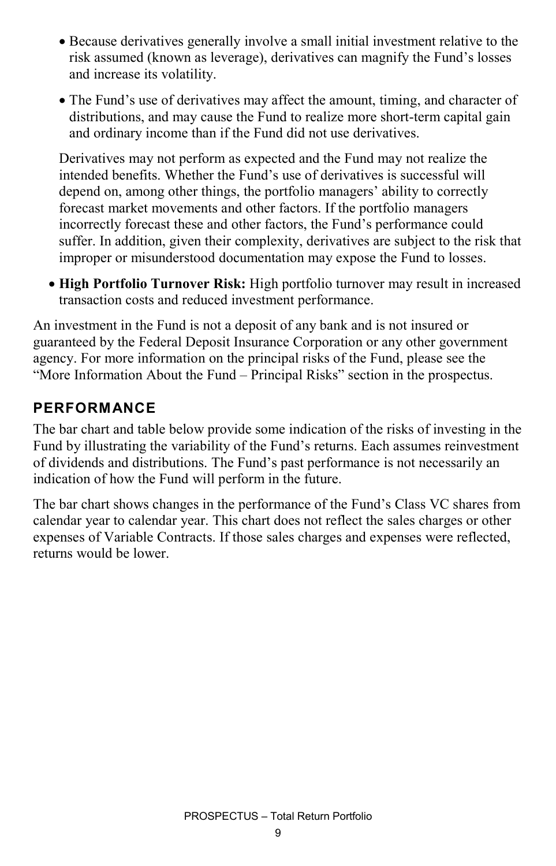- Because derivatives generally involve a small initial investment relative to the risk assumed (known as leverage), derivatives can magnify the Fund's losses and increase its volatility.
- The Fund's use of derivatives may affect the amount, timing, and character of distributions, and may cause the Fund to realize more short-term capital gain and ordinary income than if the Fund did not use derivatives.

Derivatives may not perform as expected and the Fund may not realize the intended benefits. Whether the Fund's use of derivatives is successful will depend on, among other things, the portfolio managers' ability to correctly forecast market movements and other factors. If the portfolio managers incorrectly forecast these and other factors, the Fund's performance could suffer. In addition, given their complexity, derivatives are subject to the risk that improper or misunderstood documentation may expose the Fund to losses.

• **High Portfolio Turnover Risk:** High portfolio turnover may result in increased transaction costs and reduced investment performance.

An investment in the Fund is not a deposit of any bank and is not insured or guaranteed by the Federal Deposit Insurance Corporation or any other government agency. For more information on the principal risks of the Fund, please see the "More Information About the Fund – Principal Risks" section in the prospectus.

#### **PERFORMANCE**

The bar chart and table below provide some indication of the risks of investing in the Fund by illustrating the variability of the Fund's returns. Each assumes reinvestment of dividends and distributions. The Fund's past performance is not necessarily an indication of how the Fund will perform in the future.

The bar chart shows changes in the performance of the Fund's Class VC shares from calendar year to calendar year. This chart does not reflect the sales charges or other expenses of Variable Contracts. If those sales charges and expenses were reflected, returns would be lower.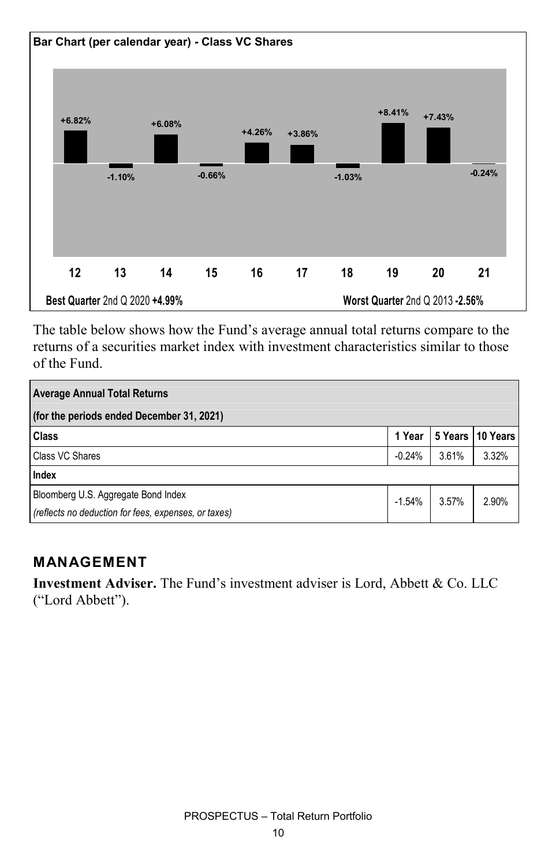

The table below shows how the Fund's average annual total returns compare to the returns of a securities market index with investment characteristics similar to those of the Fund.

| <b>Average Annual Total Returns</b>                  |          |       |                  |  |  |  |  |
|------------------------------------------------------|----------|-------|------------------|--|--|--|--|
| (for the periods ended December 31, 2021)            |          |       |                  |  |  |  |  |
| <b>Class</b>                                         | 1 Year   |       | 5 Years 10 Years |  |  |  |  |
| <b>Class VC Shares</b>                               | $-0.24%$ | 3.61% | 3.32%            |  |  |  |  |
| Index                                                |          |       |                  |  |  |  |  |
| Bloomberg U.S. Aggregate Bond Index                  | $-1.54%$ | 3.57% | 2.90%            |  |  |  |  |
| (reflects no deduction for fees, expenses, or taxes) |          |       |                  |  |  |  |  |

#### **MANAGEMENT**

**Investment Adviser.** The Fund's investment adviser is Lord, Abbett & Co. LLC ("Lord Abbett").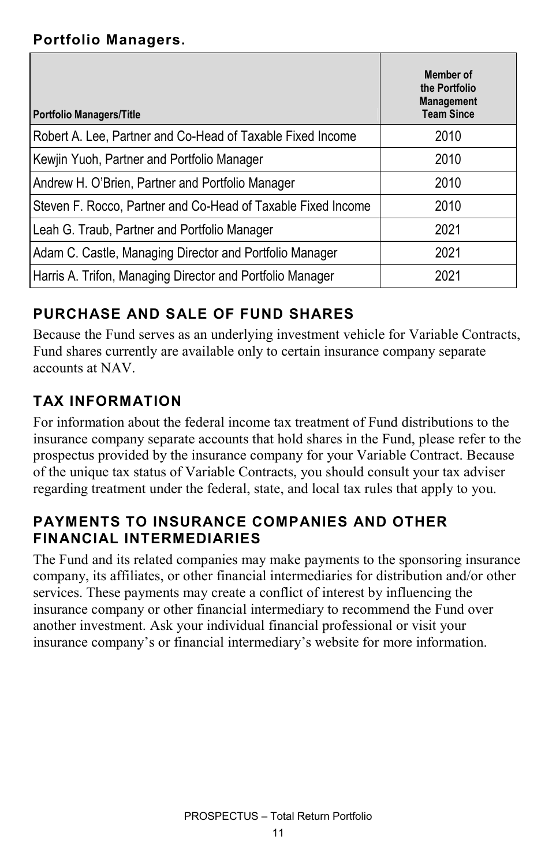#### **Portfolio Managers.**

| <b>Portfolio Managers/Title</b>                              | Member of<br>the Portfolio<br><b>Management</b><br><b>Team Since</b> |
|--------------------------------------------------------------|----------------------------------------------------------------------|
| Robert A. Lee, Partner and Co-Head of Taxable Fixed Income   | 2010                                                                 |
| Kewjin Yuoh, Partner and Portfolio Manager                   | 2010                                                                 |
| Andrew H. O'Brien, Partner and Portfolio Manager             | 2010                                                                 |
| Steven F. Rocco, Partner and Co-Head of Taxable Fixed Income | 2010                                                                 |
| Leah G. Traub, Partner and Portfolio Manager                 | 2021                                                                 |
| Adam C. Castle, Managing Director and Portfolio Manager      | 2021                                                                 |
| Harris A. Trifon, Managing Director and Portfolio Manager    | 2021                                                                 |

### **PURCHASE AND SALE OF FUND SHARES**

Because the Fund serves as an underlying investment vehicle for Variable Contracts, Fund shares currently are available only to certain insurance company separate accounts at NAV.

#### **TAX INFORMATION**

For information about the federal income tax treatment of Fund distributions to the insurance company separate accounts that hold shares in the Fund, please refer to the prospectus provided by the insurance company for your Variable Contract. Because of the unique tax status of Variable Contracts, you should consult your tax adviser regarding treatment under the federal, state, and local tax rules that apply to you.

#### **PAYMENTS TO INSURANCE COMPANIES AND OTHER FINANCIAL INTERMEDIARIES**

The Fund and its related companies may make payments to the sponsoring insurance company, its affiliates, or other financial intermediaries for distribution and/or other services. These payments may create a conflict of interest by influencing the insurance company or other financial intermediary to recommend the Fund over another investment. Ask your individual financial professional or visit your insurance company's or financial intermediary's website for more information.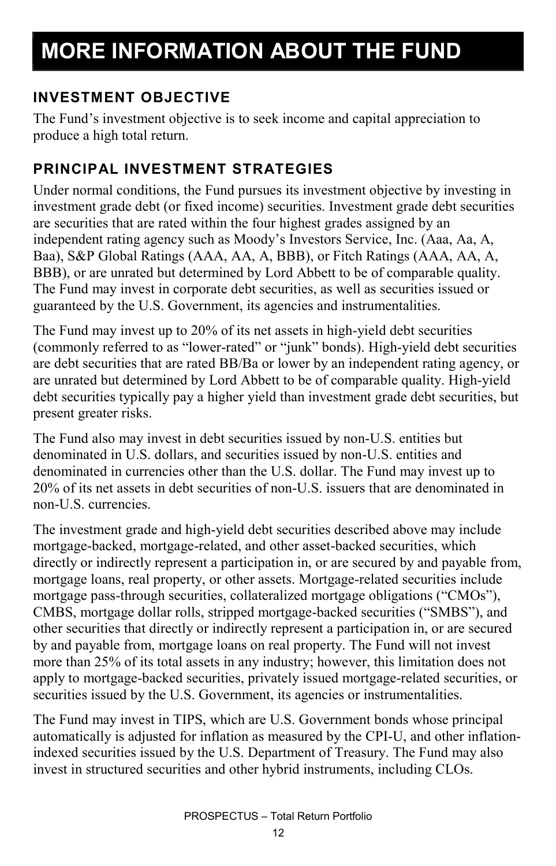# **MORE INFORMATION ABOUT THE FUND**

#### **INVESTMENT OBJECTIVE**

The Fund's investment objective is to seek income and capital appreciation to produce a high total return.

#### **PRINCIPAL INVESTMENT STRATEGIES**

Under normal conditions, the Fund pursues its investment objective by investing in investment grade debt (or fixed income) securities. Investment grade debt securities are securities that are rated within the four highest grades assigned by an independent rating agency such as Moody's Investors Service, Inc. (Aaa, Aa, A, Baa), S&P Global Ratings (AAA, AA, A, BBB), or Fitch Ratings (AAA, AA, A, BBB), or are unrated but determined by Lord Abbett to be of comparable quality. The Fund may invest in corporate debt securities, as well as securities issued or guaranteed by the U.S. Government, its agencies and instrumentalities.

The Fund may invest up to 20% of its net assets in high-yield debt securities (commonly referred to as "lower-rated" or "junk" bonds). High-yield debt securities are debt securities that are rated BB/Ba or lower by an independent rating agency, or are unrated but determined by Lord Abbett to be of comparable quality. High-yield debt securities typically pay a higher yield than investment grade debt securities, but present greater risks.

The Fund also may invest in debt securities issued by non-U.S. entities but denominated in U.S. dollars, and securities issued by non-U.S. entities and denominated in currencies other than the U.S. dollar. The Fund may invest up to 20% of its net assets in debt securities of non-U.S. issuers that are denominated in non-U.S. currencies.

The investment grade and high-yield debt securities described above may include mortgage-backed, mortgage-related, and other asset-backed securities, which directly or indirectly represent a participation in, or are secured by and payable from, mortgage loans, real property, or other assets. Mortgage-related securities include mortgage pass-through securities, collateralized mortgage obligations ("CMOs"), CMBS, mortgage dollar rolls, stripped mortgage-backed securities ("SMBS"), and other securities that directly or indirectly represent a participation in, or are secured by and payable from, mortgage loans on real property. The Fund will not invest more than 25% of its total assets in any industry; however, this limitation does not apply to mortgage-backed securities, privately issued mortgage-related securities, or securities issued by the U.S. Government, its agencies or instrumentalities.

The Fund may invest in TIPS, which are U.S. Government bonds whose principal automatically is adjusted for inflation as measured by the CPI-U, and other inflationindexed securities issued by the U.S. Department of Treasury. The Fund may also invest in structured securities and other hybrid instruments, including CLOs.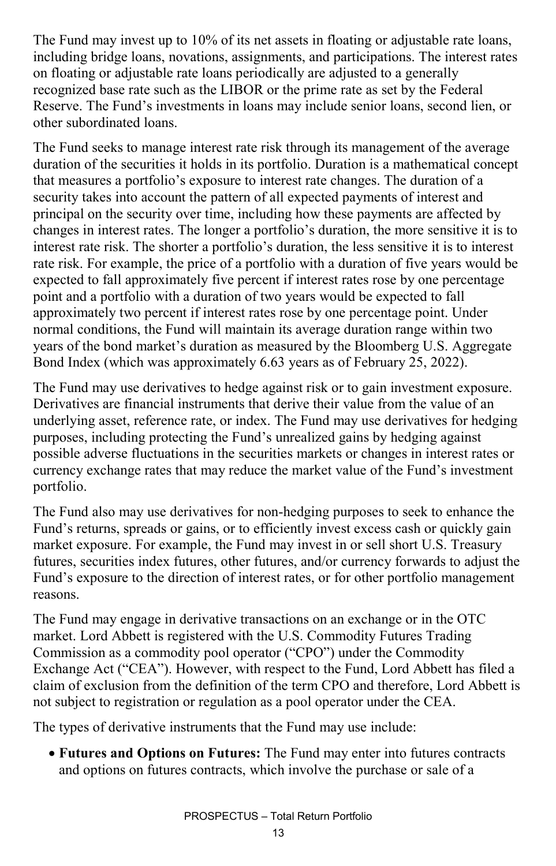The Fund may invest up to 10% of its net assets in floating or adjustable rate loans, including bridge loans, novations, assignments, and participations. The interest rates on floating or adjustable rate loans periodically are adjusted to a generally recognized base rate such as the LIBOR or the prime rate as set by the Federal Reserve. The Fund's investments in loans may include senior loans, second lien, or other subordinated loans.

The Fund seeks to manage interest rate risk through its management of the average duration of the securities it holds in its portfolio. Duration is a mathematical concept that measures a portfolio's exposure to interest rate changes. The duration of a security takes into account the pattern of all expected payments of interest and principal on the security over time, including how these payments are affected by changes in interest rates. The longer a portfolio's duration, the more sensitive it is to interest rate risk. The shorter a portfolio's duration, the less sensitive it is to interest rate risk. For example, the price of a portfolio with a duration of five years would be expected to fall approximately five percent if interest rates rose by one percentage point and a portfolio with a duration of two years would be expected to fall approximately two percent if interest rates rose by one percentage point. Under normal conditions, the Fund will maintain its average duration range within two years of the bond market's duration as measured by the Bloomberg U.S. Aggregate Bond Index (which was approximately 6.63 years as of February 25, 2022).

The Fund may use derivatives to hedge against risk or to gain investment exposure. Derivatives are financial instruments that derive their value from the value of an underlying asset, reference rate, or index. The Fund may use derivatives for hedging purposes, including protecting the Fund's unrealized gains by hedging against possible adverse fluctuations in the securities markets or changes in interest rates or currency exchange rates that may reduce the market value of the Fund's investment portfolio.

The Fund also may use derivatives for non-hedging purposes to seek to enhance the Fund's returns, spreads or gains, or to efficiently invest excess cash or quickly gain market exposure. For example, the Fund may invest in or sell short U.S. Treasury futures, securities index futures, other futures, and/or currency forwards to adjust the Fund's exposure to the direction of interest rates, or for other portfolio management reasons.

The Fund may engage in derivative transactions on an exchange or in the OTC market. Lord Abbett is registered with the U.S. Commodity Futures Trading Commission as a commodity pool operator ("CPO") under the Commodity Exchange Act ("CEA"). However, with respect to the Fund, Lord Abbett has filed a claim of exclusion from the definition of the term CPO and therefore, Lord Abbett is not subject to registration or regulation as a pool operator under the CEA.

The types of derivative instruments that the Fund may use include:

• **Futures and Options on Futures:** The Fund may enter into futures contracts and options on futures contracts, which involve the purchase or sale of a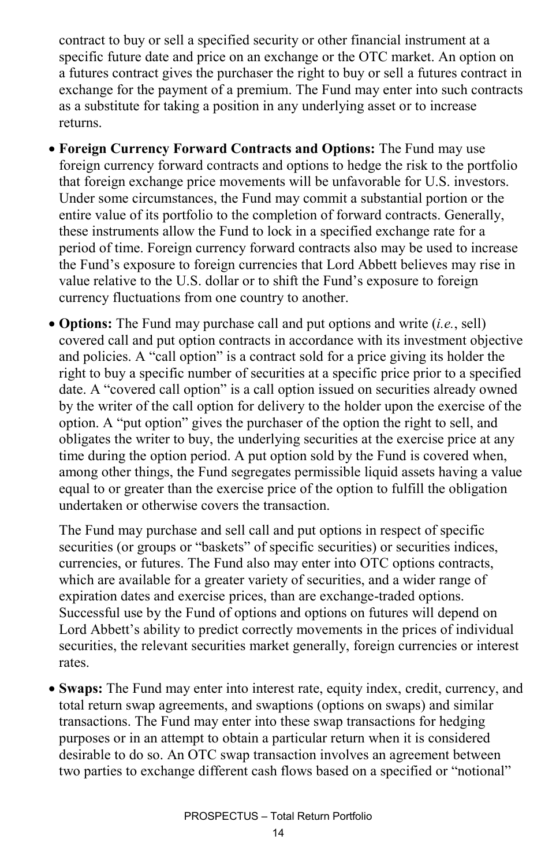contract to buy or sell a specified security or other financial instrument at a specific future date and price on an exchange or the OTC market. An option on a futures contract gives the purchaser the right to buy or sell a futures contract in exchange for the payment of a premium. The Fund may enter into such contracts as a substitute for taking a position in any underlying asset or to increase returns.

- **Foreign Currency Forward Contracts and Options:** The Fund may use foreign currency forward contracts and options to hedge the risk to the portfolio that foreign exchange price movements will be unfavorable for U.S. investors. Under some circumstances, the Fund may commit a substantial portion or the entire value of its portfolio to the completion of forward contracts. Generally, these instruments allow the Fund to lock in a specified exchange rate for a period of time. Foreign currency forward contracts also may be used to increase the Fund's exposure to foreign currencies that Lord Abbett believes may rise in value relative to the U.S. dollar or to shift the Fund's exposure to foreign currency fluctuations from one country to another.
- **Options:** The Fund may purchase call and put options and write (*i.e.*, sell) covered call and put option contracts in accordance with its investment objective and policies. A "call option" is a contract sold for a price giving its holder the right to buy a specific number of securities at a specific price prior to a specified date. A "covered call option" is a call option issued on securities already owned by the writer of the call option for delivery to the holder upon the exercise of the option. A "put option" gives the purchaser of the option the right to sell, and obligates the writer to buy, the underlying securities at the exercise price at any time during the option period. A put option sold by the Fund is covered when, among other things, the Fund segregates permissible liquid assets having a value equal to or greater than the exercise price of the option to fulfill the obligation undertaken or otherwise covers the transaction.

The Fund may purchase and sell call and put options in respect of specific securities (or groups or "baskets" of specific securities) or securities indices, currencies, or futures. The Fund also may enter into OTC options contracts, which are available for a greater variety of securities, and a wider range of expiration dates and exercise prices, than are exchange-traded options. Successful use by the Fund of options and options on futures will depend on Lord Abbett's ability to predict correctly movements in the prices of individual securities, the relevant securities market generally, foreign currencies or interest rates.

• **Swaps:** The Fund may enter into interest rate, equity index, credit, currency, and total return swap agreements, and swaptions (options on swaps) and similar transactions. The Fund may enter into these swap transactions for hedging purposes or in an attempt to obtain a particular return when it is considered desirable to do so. An OTC swap transaction involves an agreement between two parties to exchange different cash flows based on a specified or "notional"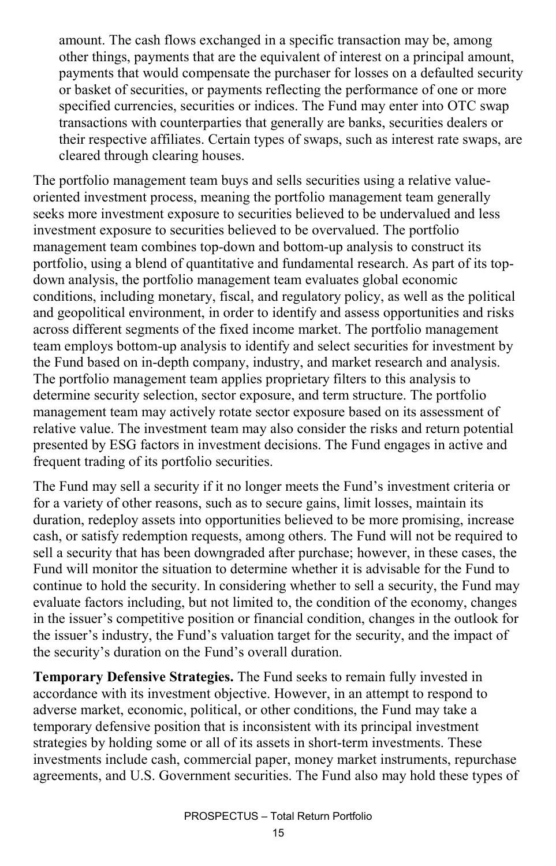amount. The cash flows exchanged in a specific transaction may be, among other things, payments that are the equivalent of interest on a principal amount, payments that would compensate the purchaser for losses on a defaulted security or basket of securities, or payments reflecting the performance of one or more specified currencies, securities or indices. The Fund may enter into OTC swap transactions with counterparties that generally are banks, securities dealers or their respective affiliates. Certain types of swaps, such as interest rate swaps, are cleared through clearing houses.

The portfolio management team buys and sells securities using a relative valueoriented investment process, meaning the portfolio management team generally seeks more investment exposure to securities believed to be undervalued and less investment exposure to securities believed to be overvalued. The portfolio management team combines top-down and bottom-up analysis to construct its portfolio, using a blend of quantitative and fundamental research. As part of its topdown analysis, the portfolio management team evaluates global economic conditions, including monetary, fiscal, and regulatory policy, as well as the political and geopolitical environment, in order to identify and assess opportunities and risks across different segments of the fixed income market. The portfolio management team employs bottom-up analysis to identify and select securities for investment by the Fund based on in-depth company, industry, and market research and analysis. The portfolio management team applies proprietary filters to this analysis to determine security selection, sector exposure, and term structure. The portfolio management team may actively rotate sector exposure based on its assessment of relative value. The investment team may also consider the risks and return potential presented by ESG factors in investment decisions. The Fund engages in active and frequent trading of its portfolio securities.

The Fund may sell a security if it no longer meets the Fund's investment criteria or for a variety of other reasons, such as to secure gains, limit losses, maintain its duration, redeploy assets into opportunities believed to be more promising, increase cash, or satisfy redemption requests, among others. The Fund will not be required to sell a security that has been downgraded after purchase; however, in these cases, the Fund will monitor the situation to determine whether it is advisable for the Fund to continue to hold the security. In considering whether to sell a security, the Fund may evaluate factors including, but not limited to, the condition of the economy, changes in the issuer's competitive position or financial condition, changes in the outlook for the issuer's industry, the Fund's valuation target for the security, and the impact of the security's duration on the Fund's overall duration.

**Temporary Defensive Strategies.** The Fund seeks to remain fully invested in accordance with its investment objective. However, in an attempt to respond to adverse market, economic, political, or other conditions, the Fund may take a temporary defensive position that is inconsistent with its principal investment strategies by holding some or all of its assets in short-term investments. These investments include cash, commercial paper, money market instruments, repurchase agreements, and U.S. Government securities. The Fund also may hold these types of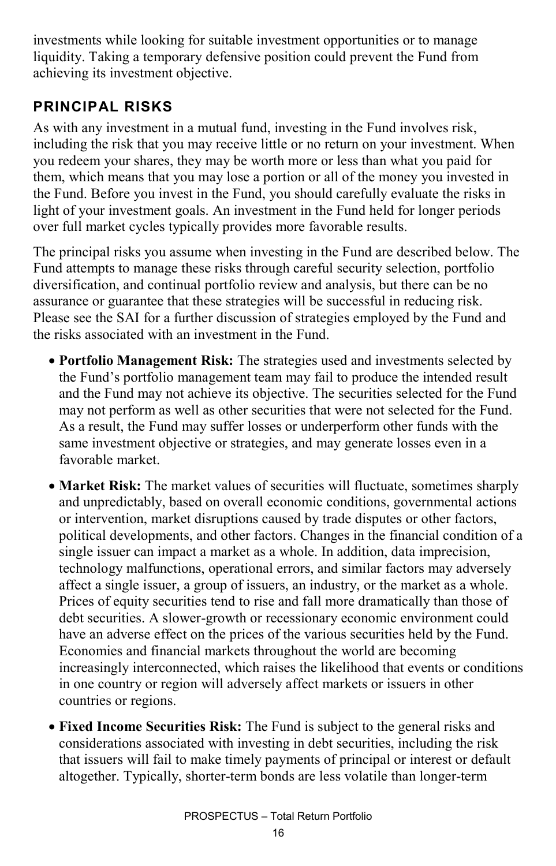investments while looking for suitable investment opportunities or to manage liquidity. Taking a temporary defensive position could prevent the Fund from achieving its investment objective.

#### **PRINCIPAL RISKS**

As with any investment in a mutual fund, investing in the Fund involves risk, including the risk that you may receive little or no return on your investment. When you redeem your shares, they may be worth more or less than what you paid for them, which means that you may lose a portion or all of the money you invested in the Fund. Before you invest in the Fund, you should carefully evaluate the risks in light of your investment goals. An investment in the Fund held for longer periods over full market cycles typically provides more favorable results.

The principal risks you assume when investing in the Fund are described below. The Fund attempts to manage these risks through careful security selection, portfolio diversification, and continual portfolio review and analysis, but there can be no assurance or guarantee that these strategies will be successful in reducing risk. Please see the SAI for a further discussion of strategies employed by the Fund and the risks associated with an investment in the Fund.

- **Portfolio Management Risk:** The strategies used and investments selected by the Fund's portfolio management team may fail to produce the intended result and the Fund may not achieve its objective. The securities selected for the Fund may not perform as well as other securities that were not selected for the Fund. As a result, the Fund may suffer losses or underperform other funds with the same investment objective or strategies, and may generate losses even in a favorable market.
- **Market Risk:** The market values of securities will fluctuate, sometimes sharply and unpredictably, based on overall economic conditions, governmental actions or intervention, market disruptions caused by trade disputes or other factors, political developments, and other factors. Changes in the financial condition of a single issuer can impact a market as a whole. In addition, data imprecision, technology malfunctions, operational errors, and similar factors may adversely affect a single issuer, a group of issuers, an industry, or the market as a whole. Prices of equity securities tend to rise and fall more dramatically than those of debt securities. A slower-growth or recessionary economic environment could have an adverse effect on the prices of the various securities held by the Fund. Economies and financial markets throughout the world are becoming increasingly interconnected, which raises the likelihood that events or conditions in one country or region will adversely affect markets or issuers in other countries or regions.
- **Fixed Income Securities Risk:** The Fund is subject to the general risks and considerations associated with investing in debt securities, including the risk that issuers will fail to make timely payments of principal or interest or default altogether. Typically, shorter-term bonds are less volatile than longer-term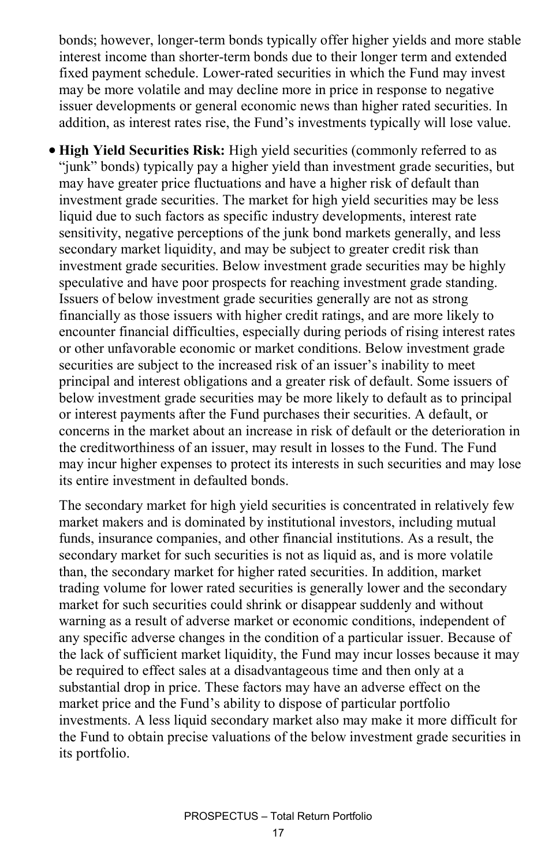bonds; however, longer-term bonds typically offer higher yields and more stable interest income than shorter-term bonds due to their longer term and extended fixed payment schedule. Lower-rated securities in which the Fund may invest may be more volatile and may decline more in price in response to negative issuer developments or general economic news than higher rated securities. In addition, as interest rates rise, the Fund's investments typically will lose value.

• **High Yield Securities Risk:** High yield securities (commonly referred to as "junk" bonds) typically pay a higher yield than investment grade securities, but may have greater price fluctuations and have a higher risk of default than investment grade securities. The market for high yield securities may be less liquid due to such factors as specific industry developments, interest rate sensitivity, negative perceptions of the junk bond markets generally, and less secondary market liquidity, and may be subject to greater credit risk than investment grade securities. Below investment grade securities may be highly speculative and have poor prospects for reaching investment grade standing. Issuers of below investment grade securities generally are not as strong financially as those issuers with higher credit ratings, and are more likely to encounter financial difficulties, especially during periods of rising interest rates or other unfavorable economic or market conditions. Below investment grade securities are subject to the increased risk of an issuer's inability to meet principal and interest obligations and a greater risk of default. Some issuers of below investment grade securities may be more likely to default as to principal or interest payments after the Fund purchases their securities. A default, or concerns in the market about an increase in risk of default or the deterioration in the creditworthiness of an issuer, may result in losses to the Fund. The Fund may incur higher expenses to protect its interests in such securities and may lose its entire investment in defaulted bonds.

The secondary market for high yield securities is concentrated in relatively few market makers and is dominated by institutional investors, including mutual funds, insurance companies, and other financial institutions. As a result, the secondary market for such securities is not as liquid as, and is more volatile than, the secondary market for higher rated securities. In addition, market trading volume for lower rated securities is generally lower and the secondary market for such securities could shrink or disappear suddenly and without warning as a result of adverse market or economic conditions, independent of any specific adverse changes in the condition of a particular issuer. Because of the lack of sufficient market liquidity, the Fund may incur losses because it may be required to effect sales at a disadvantageous time and then only at a substantial drop in price. These factors may have an adverse effect on the market price and the Fund's ability to dispose of particular portfolio investments. A less liquid secondary market also may make it more difficult for the Fund to obtain precise valuations of the below investment grade securities in its portfolio.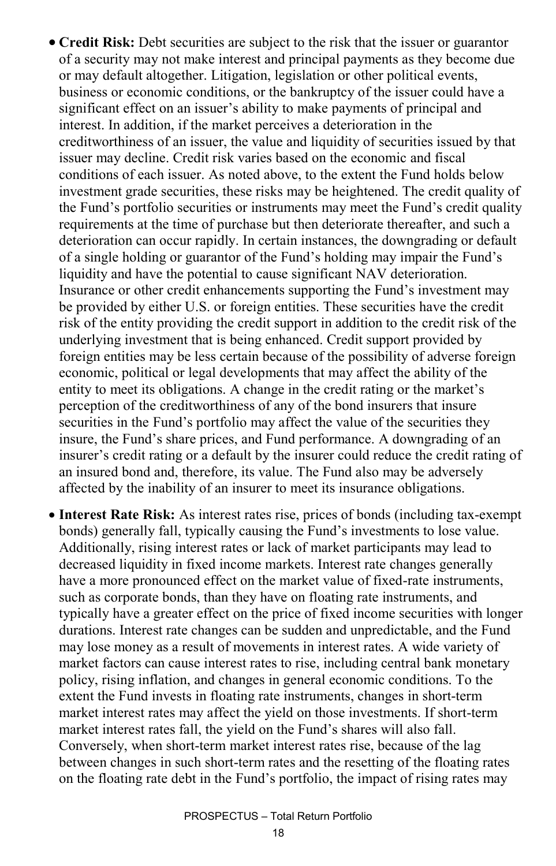- **Credit Risk:** Debt securities are subject to the risk that the issuer or guarantor of a security may not make interest and principal payments as they become due or may default altogether. Litigation, legislation or other political events, business or economic conditions, or the bankruptcy of the issuer could have a significant effect on an issuer's ability to make payments of principal and interest. In addition, if the market perceives a deterioration in the creditworthiness of an issuer, the value and liquidity of securities issued by that issuer may decline. Credit risk varies based on the economic and fiscal conditions of each issuer. As noted above, to the extent the Fund holds below investment grade securities, these risks may be heightened. The credit quality of the Fund's portfolio securities or instruments may meet the Fund's credit quality requirements at the time of purchase but then deteriorate thereafter, and such a deterioration can occur rapidly. In certain instances, the downgrading or default of a single holding or guarantor of the Fund's holding may impair the Fund's liquidity and have the potential to cause significant NAV deterioration. Insurance or other credit enhancements supporting the Fund's investment may be provided by either U.S. or foreign entities. These securities have the credit risk of the entity providing the credit support in addition to the credit risk of the underlying investment that is being enhanced. Credit support provided by foreign entities may be less certain because of the possibility of adverse foreign economic, political or legal developments that may affect the ability of the entity to meet its obligations. A change in the credit rating or the market's perception of the creditworthiness of any of the bond insurers that insure securities in the Fund's portfolio may affect the value of the securities they insure, the Fund's share prices, and Fund performance. A downgrading of an insurer's credit rating or a default by the insurer could reduce the credit rating of an insured bond and, therefore, its value. The Fund also may be adversely affected by the inability of an insurer to meet its insurance obligations.
- **Interest Rate Risk:** As interest rates rise, prices of bonds (including tax-exempt bonds) generally fall, typically causing the Fund's investments to lose value. Additionally, rising interest rates or lack of market participants may lead to decreased liquidity in fixed income markets. Interest rate changes generally have a more pronounced effect on the market value of fixed-rate instruments, such as corporate bonds, than they have on floating rate instruments, and typically have a greater effect on the price of fixed income securities with longer durations. Interest rate changes can be sudden and unpredictable, and the Fund may lose money as a result of movements in interest rates. A wide variety of market factors can cause interest rates to rise, including central bank monetary policy, rising inflation, and changes in general economic conditions. To the extent the Fund invests in floating rate instruments, changes in short-term market interest rates may affect the yield on those investments. If short-term market interest rates fall, the yield on the Fund's shares will also fall. Conversely, when short-term market interest rates rise, because of the lag between changes in such short-term rates and the resetting of the floating rates on the floating rate debt in the Fund's portfolio, the impact of rising rates may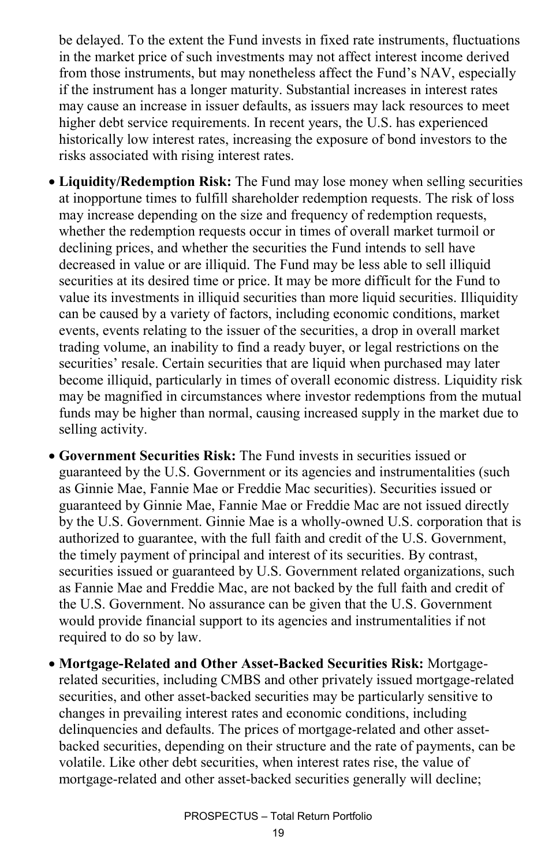be delayed. To the extent the Fund invests in fixed rate instruments, fluctuations in the market price of such investments may not affect interest income derived from those instruments, but may nonetheless affect the Fund's NAV, especially if the instrument has a longer maturity. Substantial increases in interest rates may cause an increase in issuer defaults, as issuers may lack resources to meet higher debt service requirements. In recent years, the U.S. has experienced historically low interest rates, increasing the exposure of bond investors to the risks associated with rising interest rates.

- **Liquidity/Redemption Risk:** The Fund may lose money when selling securities at inopportune times to fulfill shareholder redemption requests. The risk of loss may increase depending on the size and frequency of redemption requests, whether the redemption requests occur in times of overall market turmoil or declining prices, and whether the securities the Fund intends to sell have decreased in value or are illiquid. The Fund may be less able to sell illiquid securities at its desired time or price. It may be more difficult for the Fund to value its investments in illiquid securities than more liquid securities. Illiquidity can be caused by a variety of factors, including economic conditions, market events, events relating to the issuer of the securities, a drop in overall market trading volume, an inability to find a ready buyer, or legal restrictions on the securities' resale. Certain securities that are liquid when purchased may later become illiquid, particularly in times of overall economic distress. Liquidity risk may be magnified in circumstances where investor redemptions from the mutual funds may be higher than normal, causing increased supply in the market due to selling activity.
- **Government Securities Risk:** The Fund invests in securities issued or guaranteed by the U.S. Government or its agencies and instrumentalities (such as Ginnie Mae, Fannie Mae or Freddie Mac securities). Securities issued or guaranteed by Ginnie Mae, Fannie Mae or Freddie Mac are not issued directly by the U.S. Government. Ginnie Mae is a wholly-owned U.S. corporation that is authorized to guarantee, with the full faith and credit of the U.S. Government, the timely payment of principal and interest of its securities. By contrast, securities issued or guaranteed by U.S. Government related organizations, such as Fannie Mae and Freddie Mac, are not backed by the full faith and credit of the U.S. Government. No assurance can be given that the U.S. Government would provide financial support to its agencies and instrumentalities if not required to do so by law.
- **Mortgage-Related and Other Asset-Backed Securities Risk:** Mortgagerelated securities, including CMBS and other privately issued mortgage-related securities, and other asset-backed securities may be particularly sensitive to changes in prevailing interest rates and economic conditions, including delinquencies and defaults. The prices of mortgage-related and other assetbacked securities, depending on their structure and the rate of payments, can be volatile. Like other debt securities, when interest rates rise, the value of mortgage-related and other asset-backed securities generally will decline;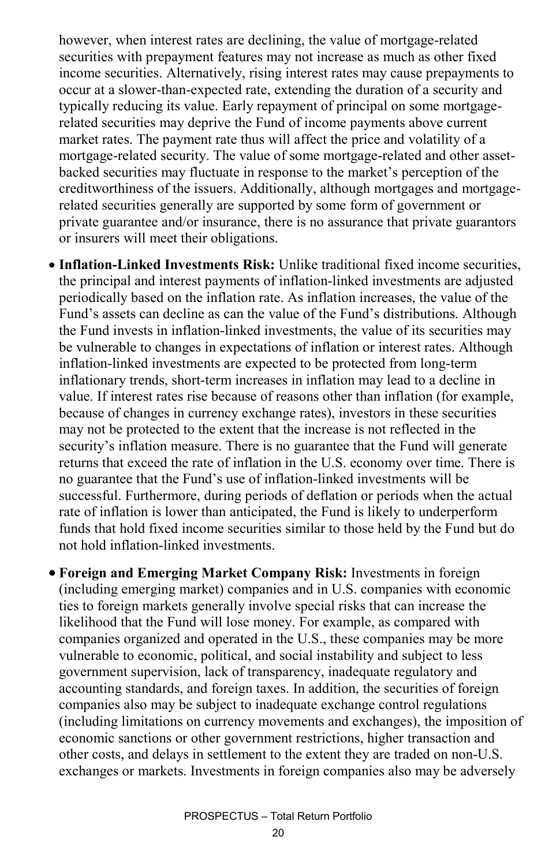however, when interest rates are declining, the value of mortgage-related securities with prepayment features may not increase as much as other fixed income securities. Alternatively, rising interest rates may cause prepayments to occur at a slower-than-expected rate, extending the duration of a security and typically reducing its value. Early repayment of principal on some mortgagerelated securities may deprive the Fund of income payments above current market rates. The payment rate thus will affect the price and volatility of a mortgage-related security. The value of some mortgage-related and other assetbacked securities may fluctuate in response to the market's perception of the creditworthiness of the issuers. Additionally, although mortgages and mortgagerelated securities generally are supported by some form of government or private guarantee and/or insurance, there is no assurance that private guarantors or insurers will meet their obligations.

- **Inflation-Linked Investments Risk:** Unlike traditional fixed income securities, the principal and interest payments of inflation-linked investments are adjusted periodically based on the inflation rate. As inflation increases, the value of the Fund's assets can decline as can the value of the Fund's distributions. Although the Fund invests in inflation-linked investments, the value of its securities may be vulnerable to changes in expectations of inflation or interest rates. Although inflation-linked investments are expected to be protected from long-term inflationary trends, short-term increases in inflation may lead to a decline in value. If interest rates rise because of reasons other than inflation (for example, because of changes in currency exchange rates), investors in these securities may not be protected to the extent that the increase is not reflected in the security's inflation measure. There is no guarantee that the Fund will generate returns that exceed the rate of inflation in the U.S. economy over time. There is no guarantee that the Fund's use of inflation-linked investments will be successful. Furthermore, during periods of deflation or periods when the actual rate of inflation is lower than anticipated, the Fund is likely to underperform funds that hold fixed income securities similar to those held by the Fund but do not hold inflation-linked investments.
- **Foreign and Emerging Market Company Risk:** Investments in foreign (including emerging market) companies and in U.S. companies with economic ties to foreign markets generally involve special risks that can increase the likelihood that the Fund will lose money. For example, as compared with companies organized and operated in the U.S., these companies may be more vulnerable to economic, political, and social instability and subject to less government supervision, lack of transparency, inadequate regulatory and accounting standards, and foreign taxes. In addition, the securities of foreign companies also may be subject to inadequate exchange control regulations (including limitations on currency movements and exchanges), the imposition of economic sanctions or other government restrictions, higher transaction and other costs, and delays in settlement to the extent they are traded on non-U.S. exchanges or markets. Investments in foreign companies also may be adversely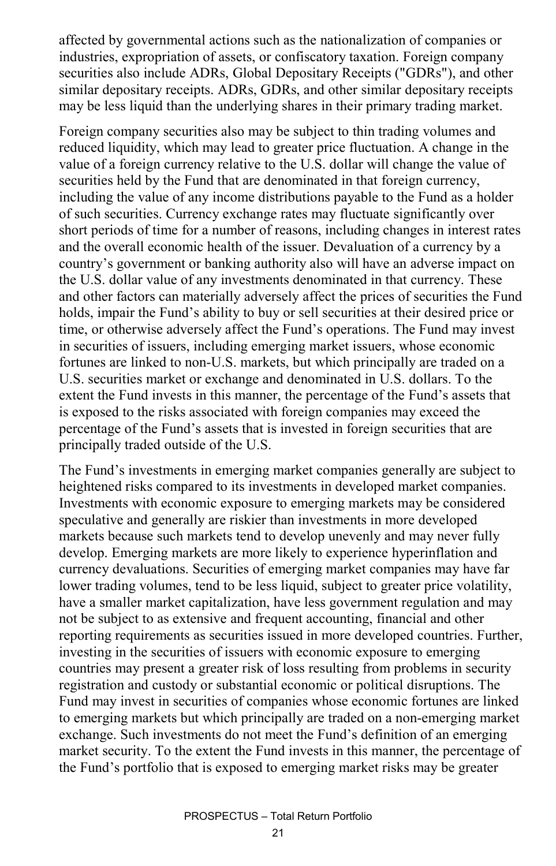affected by governmental actions such as the nationalization of companies or industries, expropriation of assets, or confiscatory taxation. Foreign company securities also include ADRs, Global Depositary Receipts ("GDRs"), and other similar depositary receipts. ADRs, GDRs, and other similar depositary receipts may be less liquid than the underlying shares in their primary trading market.

Foreign company securities also may be subject to thin trading volumes and reduced liquidity, which may lead to greater price fluctuation. A change in the value of a foreign currency relative to the U.S. dollar will change the value of securities held by the Fund that are denominated in that foreign currency, including the value of any income distributions payable to the Fund as a holder of such securities. Currency exchange rates may fluctuate significantly over short periods of time for a number of reasons, including changes in interest rates and the overall economic health of the issuer. Devaluation of a currency by a country's government or banking authority also will have an adverse impact on the U.S. dollar value of any investments denominated in that currency. These and other factors can materially adversely affect the prices of securities the Fund holds, impair the Fund's ability to buy or sell securities at their desired price or time, or otherwise adversely affect the Fund's operations. The Fund may invest in securities of issuers, including emerging market issuers, whose economic fortunes are linked to non-U.S. markets, but which principally are traded on a U.S. securities market or exchange and denominated in U.S. dollars. To the extent the Fund invests in this manner, the percentage of the Fund's assets that is exposed to the risks associated with foreign companies may exceed the percentage of the Fund's assets that is invested in foreign securities that are principally traded outside of the U.S.

The Fund's investments in emerging market companies generally are subject to heightened risks compared to its investments in developed market companies. Investments with economic exposure to emerging markets may be considered speculative and generally are riskier than investments in more developed markets because such markets tend to develop unevenly and may never fully develop. Emerging markets are more likely to experience hyperinflation and currency devaluations. Securities of emerging market companies may have far lower trading volumes, tend to be less liquid, subject to greater price volatility, have a smaller market capitalization, have less government regulation and may not be subject to as extensive and frequent accounting, financial and other reporting requirements as securities issued in more developed countries. Further, investing in the securities of issuers with economic exposure to emerging countries may present a greater risk of loss resulting from problems in security registration and custody or substantial economic or political disruptions. The Fund may invest in securities of companies whose economic fortunes are linked to emerging markets but which principally are traded on a non-emerging market exchange. Such investments do not meet the Fund's definition of an emerging market security. To the extent the Fund invests in this manner, the percentage of the Fund's portfolio that is exposed to emerging market risks may be greater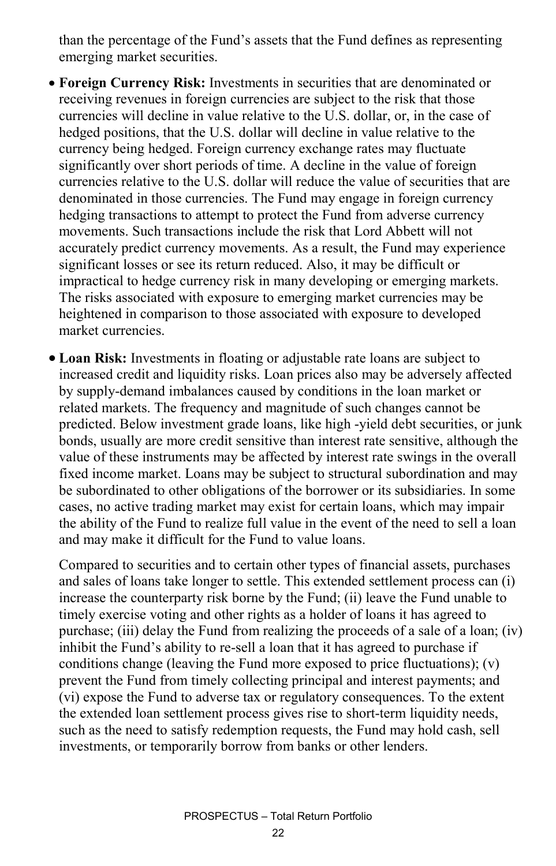than the percentage of the Fund's assets that the Fund defines as representing emerging market securities.

- **Foreign Currency Risk:** Investments in securities that are denominated or receiving revenues in foreign currencies are subject to the risk that those currencies will decline in value relative to the U.S. dollar, or, in the case of hedged positions, that the U.S. dollar will decline in value relative to the currency being hedged. Foreign currency exchange rates may fluctuate significantly over short periods of time. A decline in the value of foreign currencies relative to the U.S. dollar will reduce the value of securities that are denominated in those currencies. The Fund may engage in foreign currency hedging transactions to attempt to protect the Fund from adverse currency movements. Such transactions include the risk that Lord Abbett will not accurately predict currency movements. As a result, the Fund may experience significant losses or see its return reduced. Also, it may be difficult or impractical to hedge currency risk in many developing or emerging markets. The risks associated with exposure to emerging market currencies may be heightened in comparison to those associated with exposure to developed market currencies.
- **Loan Risk:** Investments in floating or adjustable rate loans are subject to increased credit and liquidity risks. Loan prices also may be adversely affected by supply-demand imbalances caused by conditions in the loan market or related markets. The frequency and magnitude of such changes cannot be predicted. Below investment grade loans, like high -yield debt securities, or junk bonds, usually are more credit sensitive than interest rate sensitive, although the value of these instruments may be affected by interest rate swings in the overall fixed income market. Loans may be subject to structural subordination and may be subordinated to other obligations of the borrower or its subsidiaries. In some cases, no active trading market may exist for certain loans, which may impair the ability of the Fund to realize full value in the event of the need to sell a loan and may make it difficult for the Fund to value loans.

Compared to securities and to certain other types of financial assets, purchases and sales of loans take longer to settle. This extended settlement process can (i) increase the counterparty risk borne by the Fund; (ii) leave the Fund unable to timely exercise voting and other rights as a holder of loans it has agreed to purchase; (iii) delay the Fund from realizing the proceeds of a sale of a loan; (iv) inhibit the Fund's ability to re-sell a loan that it has agreed to purchase if conditions change (leaving the Fund more exposed to price fluctuations); (v) prevent the Fund from timely collecting principal and interest payments; and (vi) expose the Fund to adverse tax or regulatory consequences. To the extent the extended loan settlement process gives rise to short-term liquidity needs, such as the need to satisfy redemption requests, the Fund may hold cash, sell investments, or temporarily borrow from banks or other lenders.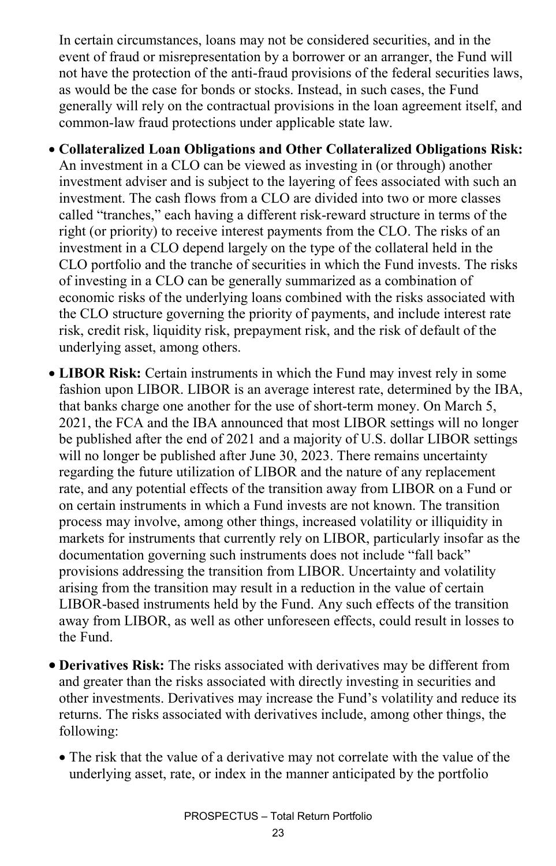In certain circumstances, loans may not be considered securities, and in the event of fraud or misrepresentation by a borrower or an arranger, the Fund will not have the protection of the anti-fraud provisions of the federal securities laws, as would be the case for bonds or stocks. Instead, in such cases, the Fund generally will rely on the contractual provisions in the loan agreement itself, and common-law fraud protections under applicable state law.

• **Collateralized Loan Obligations and Other Collateralized Obligations Risk:** An investment in a CLO can be viewed as investing in (or through) another investment adviser and is subject to the layering of fees associated with such an investment. The cash flows from a CLO are divided into two or more classes called "tranches," each having a different risk-reward structure in terms of the right (or priority) to receive interest payments from the CLO. The risks of an investment in a CLO depend largely on the type of the collateral held in the CLO portfolio and the tranche of securities in which the Fund invests. The risks of investing in a CLO can be generally summarized as a combination of economic risks of the underlying loans combined with the risks associated with the CLO structure governing the priority of payments, and include interest rate risk, credit risk, liquidity risk, prepayment risk, and the risk of default of the underlying asset, among others.

- **LIBOR Risk:** Certain instruments in which the Fund may invest rely in some fashion upon LIBOR. LIBOR is an average interest rate, determined by the IBA, that banks charge one another for the use of short-term money. On March 5, 2021, the FCA and the IBA announced that most LIBOR settings will no longer be published after the end of 2021 and a majority of U.S. dollar LIBOR settings will no longer be published after June 30, 2023. There remains uncertainty regarding the future utilization of LIBOR and the nature of any replacement rate, and any potential effects of the transition away from LIBOR on a Fund or on certain instruments in which a Fund invests are not known. The transition process may involve, among other things, increased volatility or illiquidity in markets for instruments that currently rely on LIBOR, particularly insofar as the documentation governing such instruments does not include "fall back" provisions addressing the transition from LIBOR. Uncertainty and volatility arising from the transition may result in a reduction in the value of certain LIBOR-based instruments held by the Fund. Any such effects of the transition away from LIBOR, as well as other unforeseen effects, could result in losses to the Fund.
- **Derivatives Risk:** The risks associated with derivatives may be different from and greater than the risks associated with directly investing in securities and other investments. Derivatives may increase the Fund's volatility and reduce its returns. The risks associated with derivatives include, among other things, the following:
	- The risk that the value of a derivative may not correlate with the value of the underlying asset, rate, or index in the manner anticipated by the portfolio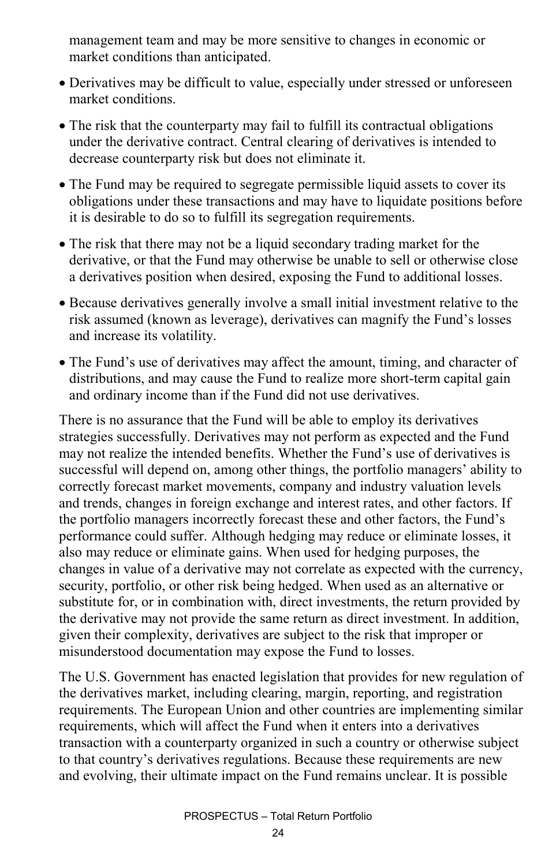management team and may be more sensitive to changes in economic or market conditions than anticipated.

- Derivatives may be difficult to value, especially under stressed or unforeseen market conditions.
- The risk that the counterparty may fail to fulfill its contractual obligations under the derivative contract. Central clearing of derivatives is intended to decrease counterparty risk but does not eliminate it.
- The Fund may be required to segregate permissible liquid assets to cover its obligations under these transactions and may have to liquidate positions before it is desirable to do so to fulfill its segregation requirements.
- The risk that there may not be a liquid secondary trading market for the derivative, or that the Fund may otherwise be unable to sell or otherwise close a derivatives position when desired, exposing the Fund to additional losses.
- Because derivatives generally involve a small initial investment relative to the risk assumed (known as leverage), derivatives can magnify the Fund's losses and increase its volatility.
- The Fund's use of derivatives may affect the amount, timing, and character of distributions, and may cause the Fund to realize more short-term capital gain and ordinary income than if the Fund did not use derivatives.

There is no assurance that the Fund will be able to employ its derivatives strategies successfully. Derivatives may not perform as expected and the Fund may not realize the intended benefits. Whether the Fund's use of derivatives is successful will depend on, among other things, the portfolio managers' ability to correctly forecast market movements, company and industry valuation levels and trends, changes in foreign exchange and interest rates, and other factors. If the portfolio managers incorrectly forecast these and other factors, the Fund's performance could suffer. Although hedging may reduce or eliminate losses, it also may reduce or eliminate gains. When used for hedging purposes, the changes in value of a derivative may not correlate as expected with the currency, security, portfolio, or other risk being hedged. When used as an alternative or substitute for, or in combination with, direct investments, the return provided by the derivative may not provide the same return as direct investment. In addition, given their complexity, derivatives are subject to the risk that improper or misunderstood documentation may expose the Fund to losses.

The U.S. Government has enacted legislation that provides for new regulation of the derivatives market, including clearing, margin, reporting, and registration requirements. The European Union and other countries are implementing similar requirements, which will affect the Fund when it enters into a derivatives transaction with a counterparty organized in such a country or otherwise subject to that country's derivatives regulations. Because these requirements are new and evolving, their ultimate impact on the Fund remains unclear. It is possible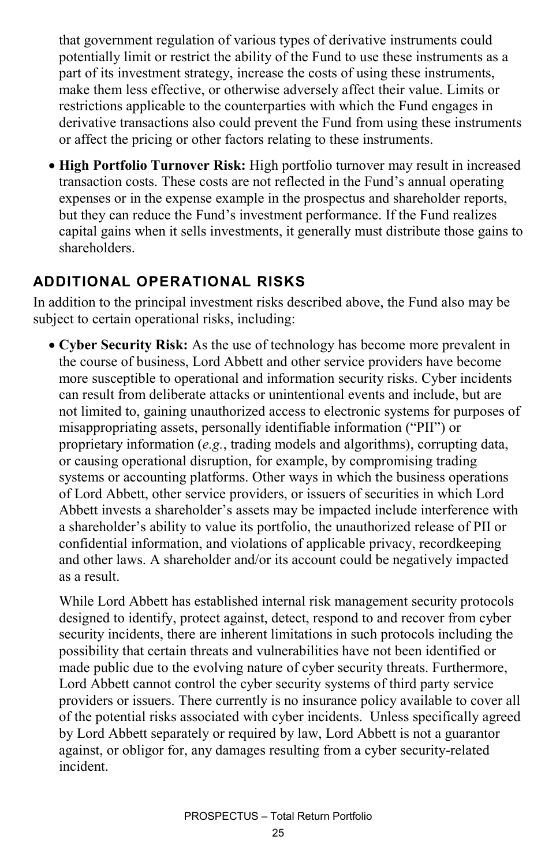that government regulation of various types of derivative instruments could potentially limit or restrict the ability of the Fund to use these instruments as a part of its investment strategy, increase the costs of using these instruments, make them less effective, or otherwise adversely affect their value. Limits or restrictions applicable to the counterparties with which the Fund engages in derivative transactions also could prevent the Fund from using these instruments or affect the pricing or other factors relating to these instruments.

• **High Portfolio Turnover Risk:** High portfolio turnover may result in increased transaction costs. These costs are not reflected in the Fund's annual operating expenses or in the expense example in the prospectus and shareholder reports, but they can reduce the Fund's investment performance. If the Fund realizes capital gains when it sells investments, it generally must distribute those gains to shareholders.

#### **ADDITIONAL OPERATIONAL RISKS**

In addition to the principal investment risks described above, the Fund also may be subject to certain operational risks, including:

• **Cyber Security Risk:** As the use of technology has become more prevalent in the course of business, Lord Abbett and other service providers have become more susceptible to operational and information security risks. Cyber incidents can result from deliberate attacks or unintentional events and include, but are not limited to, gaining unauthorized access to electronic systems for purposes of misappropriating assets, personally identifiable information ("PII") or proprietary information (*e.g.*, trading models and algorithms), corrupting data, or causing operational disruption, for example, by compromising trading systems or accounting platforms. Other ways in which the business operations of Lord Abbett, other service providers, or issuers of securities in which Lord Abbett invests a shareholder's assets may be impacted include interference with a shareholder's ability to value its portfolio, the unauthorized release of PII or confidential information, and violations of applicable privacy, recordkeeping and other laws. A shareholder and/or its account could be negatively impacted as a result.

While Lord Abbett has established internal risk management security protocols designed to identify, protect against, detect, respond to and recover from cyber security incidents, there are inherent limitations in such protocols including the possibility that certain threats and vulnerabilities have not been identified or made public due to the evolving nature of cyber security threats. Furthermore, Lord Abbett cannot control the cyber security systems of third party service providers or issuers. There currently is no insurance policy available to cover all of the potential risks associated with cyber incidents. Unless specifically agreed by Lord Abbett separately or required by law, Lord Abbett is not a guarantor against, or obligor for, any damages resulting from a cyber security-related incident.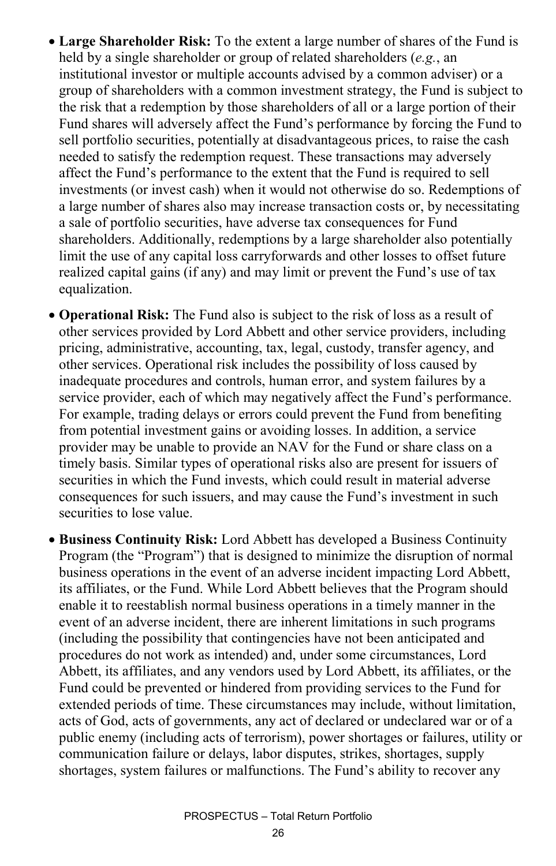- **Large Shareholder Risk:** To the extent a large number of shares of the Fund is held by a single shareholder or group of related shareholders (*e.g.*, an institutional investor or multiple accounts advised by a common adviser) or a group of shareholders with a common investment strategy, the Fund is subject to the risk that a redemption by those shareholders of all or a large portion of their Fund shares will adversely affect the Fund's performance by forcing the Fund to sell portfolio securities, potentially at disadvantageous prices, to raise the cash needed to satisfy the redemption request. These transactions may adversely affect the Fund's performance to the extent that the Fund is required to sell investments (or invest cash) when it would not otherwise do so. Redemptions of a large number of shares also may increase transaction costs or, by necessitating a sale of portfolio securities, have adverse tax consequences for Fund shareholders. Additionally, redemptions by a large shareholder also potentially limit the use of any capital loss carryforwards and other losses to offset future realized capital gains (if any) and may limit or prevent the Fund's use of tax equalization.
- **Operational Risk:** The Fund also is subject to the risk of loss as a result of other services provided by Lord Abbett and other service providers, including pricing, administrative, accounting, tax, legal, custody, transfer agency, and other services. Operational risk includes the possibility of loss caused by inadequate procedures and controls, human error, and system failures by a service provider, each of which may negatively affect the Fund's performance. For example, trading delays or errors could prevent the Fund from benefiting from potential investment gains or avoiding losses. In addition, a service provider may be unable to provide an NAV for the Fund or share class on a timely basis. Similar types of operational risks also are present for issuers of securities in which the Fund invests, which could result in material adverse consequences for such issuers, and may cause the Fund's investment in such securities to lose value.
- **Business Continuity Risk:** Lord Abbett has developed a Business Continuity Program (the "Program") that is designed to minimize the disruption of normal business operations in the event of an adverse incident impacting Lord Abbett, its affiliates, or the Fund. While Lord Abbett believes that the Program should enable it to reestablish normal business operations in a timely manner in the event of an adverse incident, there are inherent limitations in such programs (including the possibility that contingencies have not been anticipated and procedures do not work as intended) and, under some circumstances, Lord Abbett, its affiliates, and any vendors used by Lord Abbett, its affiliates, or the Fund could be prevented or hindered from providing services to the Fund for extended periods of time. These circumstances may include, without limitation, acts of God, acts of governments, any act of declared or undeclared war or of a public enemy (including acts of terrorism), power shortages or failures, utility or communication failure or delays, labor disputes, strikes, shortages, supply shortages, system failures or malfunctions. The Fund's ability to recover any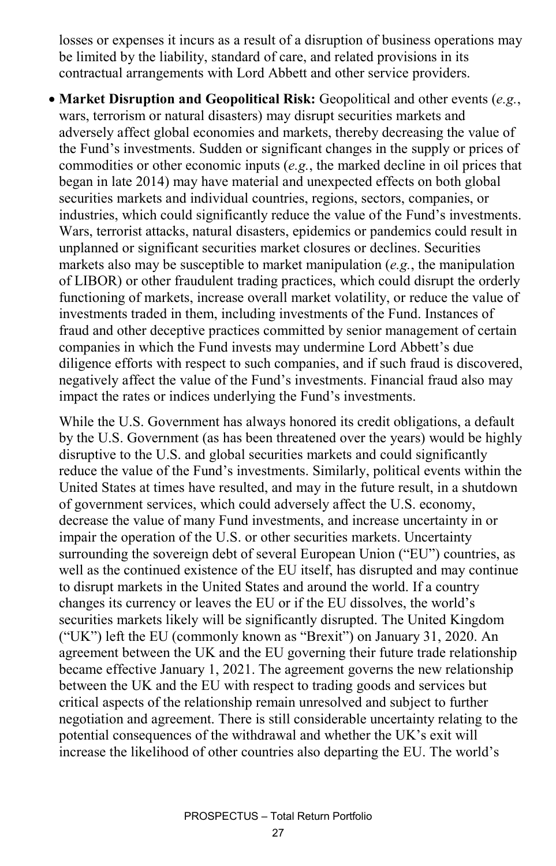losses or expenses it incurs as a result of a disruption of business operations may be limited by the liability, standard of care, and related provisions in its contractual arrangements with Lord Abbett and other service providers.

• **Market Disruption and Geopolitical Risk:** Geopolitical and other events (*e.g.*, wars, terrorism or natural disasters) may disrupt securities markets and adversely affect global economies and markets, thereby decreasing the value of the Fund's investments. Sudden or significant changes in the supply or prices of commodities or other economic inputs (*e.g.*, the marked decline in oil prices that began in late 2014) may have material and unexpected effects on both global securities markets and individual countries, regions, sectors, companies, or industries, which could significantly reduce the value of the Fund's investments. Wars, terrorist attacks, natural disasters, epidemics or pandemics could result in unplanned or significant securities market closures or declines. Securities markets also may be susceptible to market manipulation (*e.g.*, the manipulation of LIBOR) or other fraudulent trading practices, which could disrupt the orderly functioning of markets, increase overall market volatility, or reduce the value of investments traded in them, including investments of the Fund. Instances of fraud and other deceptive practices committed by senior management of certain companies in which the Fund invests may undermine Lord Abbett's due diligence efforts with respect to such companies, and if such fraud is discovered, negatively affect the value of the Fund's investments. Financial fraud also may impact the rates or indices underlying the Fund's investments.

While the U.S. Government has always honored its credit obligations, a default by the U.S. Government (as has been threatened over the years) would be highly disruptive to the U.S. and global securities markets and could significantly reduce the value of the Fund's investments. Similarly, political events within the United States at times have resulted, and may in the future result, in a shutdown of government services, which could adversely affect the U.S. economy, decrease the value of many Fund investments, and increase uncertainty in or impair the operation of the U.S. or other securities markets. Uncertainty surrounding the sovereign debt of several European Union ("EU") countries, as well as the continued existence of the EU itself, has disrupted and may continue to disrupt markets in the United States and around the world. If a country changes its currency or leaves the EU or if the EU dissolves, the world's securities markets likely will be significantly disrupted. The United Kingdom ("UK") left the EU (commonly known as "Brexit") on January 31, 2020. An agreement between the UK and the EU governing their future trade relationship became effective January 1, 2021. The agreement governs the new relationship between the UK and the EU with respect to trading goods and services but critical aspects of the relationship remain unresolved and subject to further negotiation and agreement. There is still considerable uncertainty relating to the potential consequences of the withdrawal and whether the UK's exit will increase the likelihood of other countries also departing the EU. The world's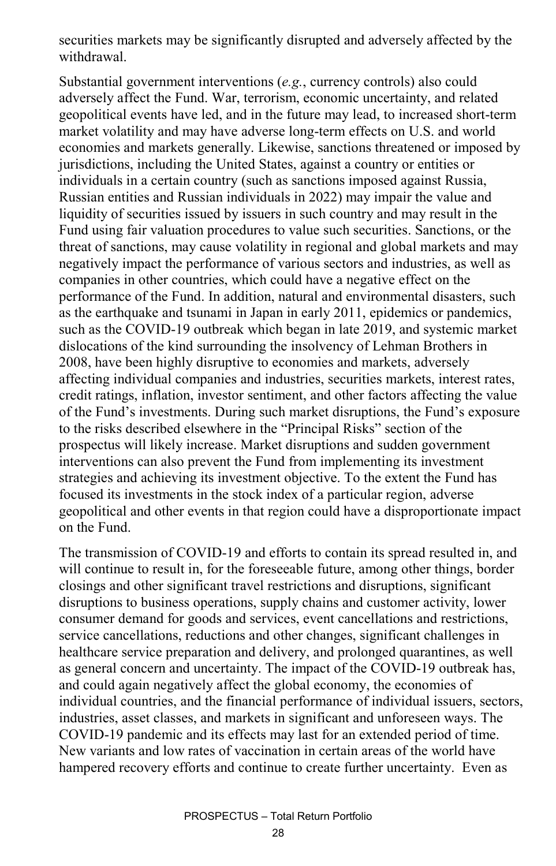securities markets may be significantly disrupted and adversely affected by the withdrawal.

Substantial government interventions (*e.g.*, currency controls) also could adversely affect the Fund. War, terrorism, economic uncertainty, and related geopolitical events have led, and in the future may lead, to increased short-term market volatility and may have adverse long-term effects on U.S. and world economies and markets generally. Likewise, sanctions threatened or imposed by jurisdictions, including the United States, against a country or entities or individuals in a certain country (such as sanctions imposed against Russia, Russian entities and Russian individuals in 2022) may impair the value and liquidity of securities issued by issuers in such country and may result in the Fund using fair valuation procedures to value such securities. Sanctions, or the threat of sanctions, may cause volatility in regional and global markets and may negatively impact the performance of various sectors and industries, as well as companies in other countries, which could have a negative effect on the performance of the Fund. In addition, natural and environmental disasters, such as the earthquake and tsunami in Japan in early 2011, epidemics or pandemics, such as the COVID-19 outbreak which began in late 2019, and systemic market dislocations of the kind surrounding the insolvency of Lehman Brothers in 2008, have been highly disruptive to economies and markets, adversely affecting individual companies and industries, securities markets, interest rates, credit ratings, inflation, investor sentiment, and other factors affecting the value of the Fund's investments. During such market disruptions, the Fund's exposure to the risks described elsewhere in the "Principal Risks" section of the prospectus will likely increase. Market disruptions and sudden government interventions can also prevent the Fund from implementing its investment strategies and achieving its investment objective. To the extent the Fund has focused its investments in the stock index of a particular region, adverse geopolitical and other events in that region could have a disproportionate impact on the Fund.

The transmission of COVID-19 and efforts to contain its spread resulted in, and will continue to result in, for the foreseeable future, among other things, border closings and other significant travel restrictions and disruptions, significant disruptions to business operations, supply chains and customer activity, lower consumer demand for goods and services, event cancellations and restrictions, service cancellations, reductions and other changes, significant challenges in healthcare service preparation and delivery, and prolonged quarantines, as well as general concern and uncertainty. The impact of the COVID-19 outbreak has, and could again negatively affect the global economy, the economies of individual countries, and the financial performance of individual issuers, sectors, industries, asset classes, and markets in significant and unforeseen ways. The COVID-19 pandemic and its effects may last for an extended period of time. New variants and low rates of vaccination in certain areas of the world have hampered recovery efforts and continue to create further uncertainty. Even as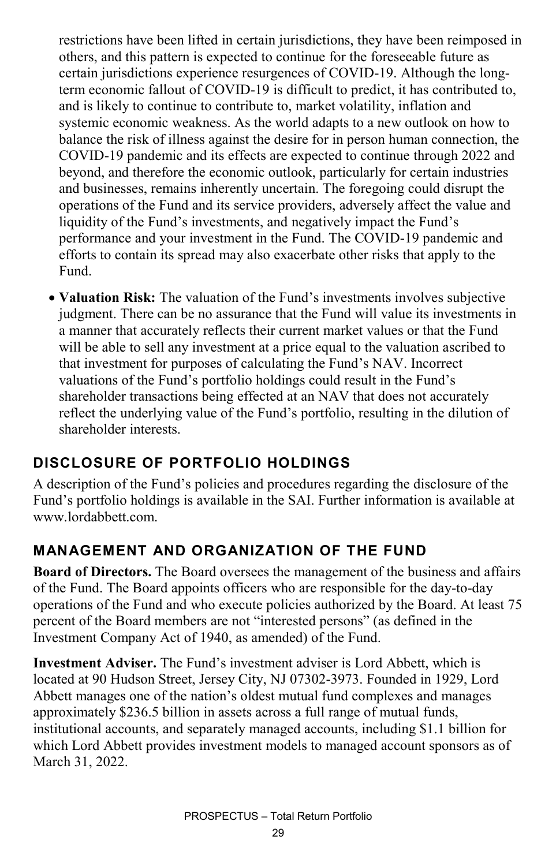restrictions have been lifted in certain jurisdictions, they have been reimposed in others, and this pattern is expected to continue for the foreseeable future as certain jurisdictions experience resurgences of COVID-19. Although the longterm economic fallout of COVID-19 is difficult to predict, it has contributed to, and is likely to continue to contribute to, market volatility, inflation and systemic economic weakness. As the world adapts to a new outlook on how to balance the risk of illness against the desire for in person human connection, the COVID-19 pandemic and its effects are expected to continue through 2022 and beyond, and therefore the economic outlook, particularly for certain industries and businesses, remains inherently uncertain. The foregoing could disrupt the operations of the Fund and its service providers, adversely affect the value and liquidity of the Fund's investments, and negatively impact the Fund's performance and your investment in the Fund. The COVID-19 pandemic and efforts to contain its spread may also exacerbate other risks that apply to the Fund.

• **Valuation Risk:** The valuation of the Fund's investments involves subjective judgment. There can be no assurance that the Fund will value its investments in a manner that accurately reflects their current market values or that the Fund will be able to sell any investment at a price equal to the valuation ascribed to that investment for purposes of calculating the Fund's NAV. Incorrect valuations of the Fund's portfolio holdings could result in the Fund's shareholder transactions being effected at an NAV that does not accurately reflect the underlying value of the Fund's portfolio, resulting in the dilution of shareholder interests.

### **DISCLOSURE OF PORTFOLIO HOLDINGS**

A description of the Fund's policies and procedures regarding the disclosure of the Fund's portfolio holdings is available in the SAI. Further information is available at www.lordabbett.com

#### **MANAGEMENT AND ORGANIZATION OF THE FUND**

**Board of Directors.** The Board oversees the management of the business and affairs of the Fund. The Board appoints officers who are responsible for the day-to-day operations of the Fund and who execute policies authorized by the Board. At least 75 percent of the Board members are not "interested persons" (as defined in the Investment Company Act of 1940, as amended) of the Fund.

**Investment Adviser.** The Fund's investment adviser is Lord Abbett, which is located at 90 Hudson Street, Jersey City, NJ 07302-3973. Founded in 1929, Lord Abbett manages one of the nation's oldest mutual fund complexes and manages approximately \$236.5 billion in assets across a full range of mutual funds, institutional accounts, and separately managed accounts, including \$1.1 billion for which Lord Abbett provides investment models to managed account sponsors as of March 31, 2022.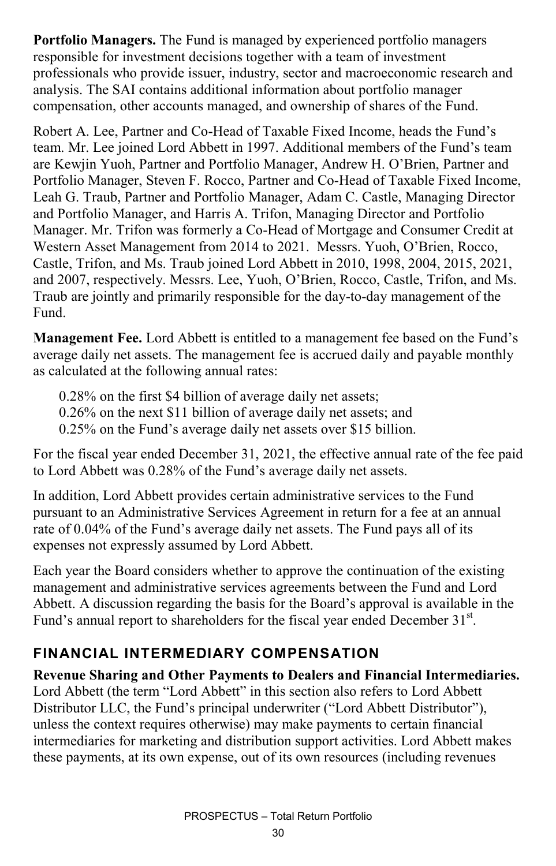**Portfolio Managers.** The Fund is managed by experienced portfolio managers responsible for investment decisions together with a team of investment professionals who provide issuer, industry, sector and macroeconomic research and analysis. The SAI contains additional information about portfolio manager compensation, other accounts managed, and ownership of shares of the Fund.

Robert A. Lee, Partner and Co-Head of Taxable Fixed Income, heads the Fund's team. Mr. Lee joined Lord Abbett in 1997. Additional members of the Fund's team are Kewjin Yuoh, Partner and Portfolio Manager, Andrew H. O'Brien, Partner and Portfolio Manager, Steven F. Rocco, Partner and Co-Head of Taxable Fixed Income, Leah G. Traub, Partner and Portfolio Manager, Adam C. Castle, Managing Director and Portfolio Manager, and Harris A. Trifon, Managing Director and Portfolio Manager. Mr. Trifon was formerly a Co-Head of Mortgage and Consumer Credit at Western Asset Management from 2014 to 2021. Messrs. Yuoh, O'Brien, Rocco, Castle, Trifon, and Ms. Traub joined Lord Abbett in 2010, 1998, 2004, 2015, 2021, and 2007, respectively. Messrs. Lee, Yuoh, O'Brien, Rocco, Castle, Trifon, and Ms. Traub are jointly and primarily responsible for the day-to-day management of the Fund.

**Management Fee.** Lord Abbett is entitled to a management fee based on the Fund's average daily net assets. The management fee is accrued daily and payable monthly as calculated at the following annual rates:

0.28% on the first \$4 billion of average daily net assets;

0.26% on the next \$11 billion of average daily net assets; and

0.25% on the Fund's average daily net assets over \$15 billion.

For the fiscal year ended December 31, 2021, the effective annual rate of the fee paid to Lord Abbett was 0.28% of the Fund's average daily net assets.

In addition, Lord Abbett provides certain administrative services to the Fund pursuant to an Administrative Services Agreement in return for a fee at an annual rate of 0.04% of the Fund's average daily net assets. The Fund pays all of its expenses not expressly assumed by Lord Abbett.

Each year the Board considers whether to approve the continuation of the existing management and administrative services agreements between the Fund and Lord Abbett. A discussion regarding the basis for the Board's approval is available in the Fund's annual report to shareholders for the fiscal year ended December 31<sup>st</sup>.

#### **FINANCIAL INTERMEDIARY COMPENSATION**

**Revenue Sharing and Other Payments to Dealers and Financial Intermediaries.** Lord Abbett (the term "Lord Abbett" in this section also refers to Lord Abbett Distributor LLC, the Fund's principal underwriter ("Lord Abbett Distributor"), unless the context requires otherwise) may make payments to certain financial intermediaries for marketing and distribution support activities. Lord Abbett makes these payments, at its own expense, out of its own resources (including revenues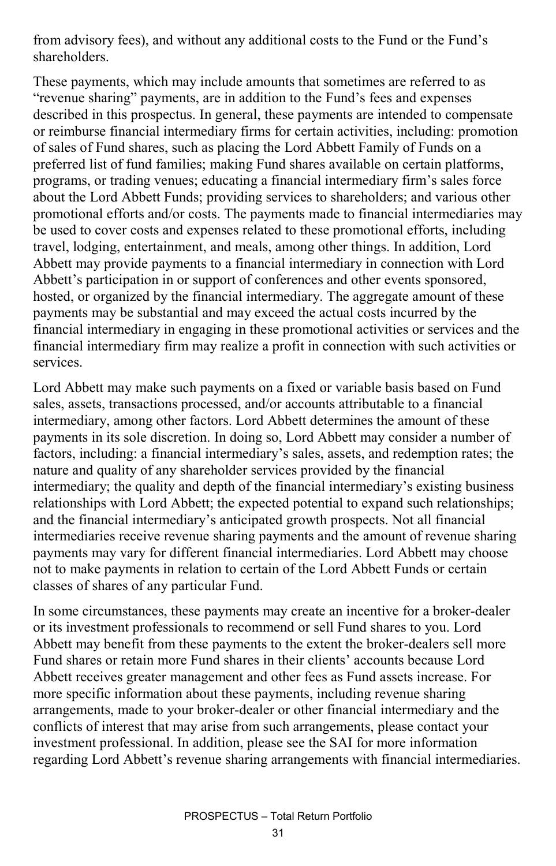from advisory fees), and without any additional costs to the Fund or the Fund's shareholders.

These payments, which may include amounts that sometimes are referred to as "revenue sharing" payments, are in addition to the Fund's fees and expenses described in this prospectus. In general, these payments are intended to compensate or reimburse financial intermediary firms for certain activities, including: promotion of sales of Fund shares, such as placing the Lord Abbett Family of Funds on a preferred list of fund families; making Fund shares available on certain platforms, programs, or trading venues; educating a financial intermediary firm's sales force about the Lord Abbett Funds; providing services to shareholders; and various other promotional efforts and/or costs. The payments made to financial intermediaries may be used to cover costs and expenses related to these promotional efforts, including travel, lodging, entertainment, and meals, among other things. In addition, Lord Abbett may provide payments to a financial intermediary in connection with Lord Abbett's participation in or support of conferences and other events sponsored, hosted, or organized by the financial intermediary. The aggregate amount of these payments may be substantial and may exceed the actual costs incurred by the financial intermediary in engaging in these promotional activities or services and the financial intermediary firm may realize a profit in connection with such activities or services.

Lord Abbett may make such payments on a fixed or variable basis based on Fund sales, assets, transactions processed, and/or accounts attributable to a financial intermediary, among other factors. Lord Abbett determines the amount of these payments in its sole discretion. In doing so, Lord Abbett may consider a number of factors, including: a financial intermediary's sales, assets, and redemption rates; the nature and quality of any shareholder services provided by the financial intermediary; the quality and depth of the financial intermediary's existing business relationships with Lord Abbett; the expected potential to expand such relationships; and the financial intermediary's anticipated growth prospects. Not all financial intermediaries receive revenue sharing payments and the amount of revenue sharing payments may vary for different financial intermediaries. Lord Abbett may choose not to make payments in relation to certain of the Lord Abbett Funds or certain classes of shares of any particular Fund.

In some circumstances, these payments may create an incentive for a broker-dealer or its investment professionals to recommend or sell Fund shares to you. Lord Abbett may benefit from these payments to the extent the broker-dealers sell more Fund shares or retain more Fund shares in their clients' accounts because Lord Abbett receives greater management and other fees as Fund assets increase. For more specific information about these payments, including revenue sharing arrangements, made to your broker-dealer or other financial intermediary and the conflicts of interest that may arise from such arrangements, please contact your investment professional. In addition, please see the SAI for more information regarding Lord Abbett's revenue sharing arrangements with financial intermediaries.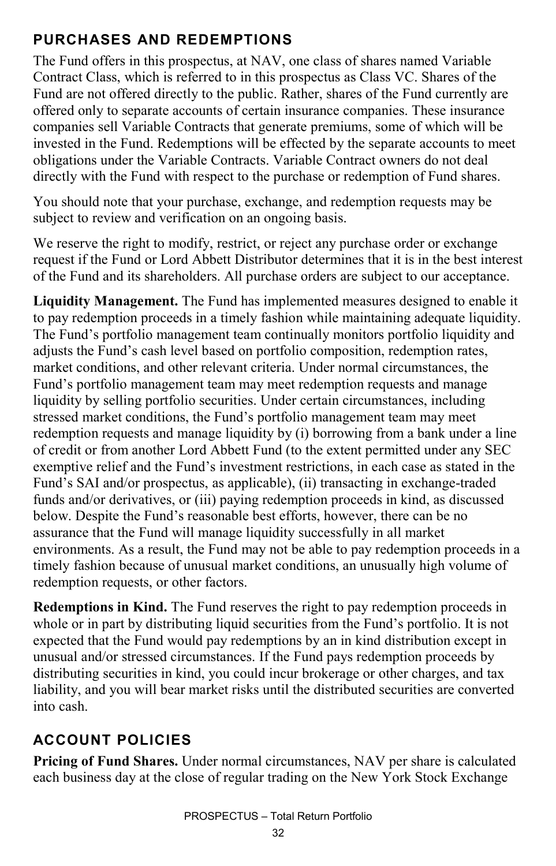### **PURCHASES AND REDEMPTIONS**

The Fund offers in this prospectus, at NAV, one class of shares named Variable Contract Class, which is referred to in this prospectus as Class VC. Shares of the Fund are not offered directly to the public. Rather, shares of the Fund currently are offered only to separate accounts of certain insurance companies. These insurance companies sell Variable Contracts that generate premiums, some of which will be invested in the Fund. Redemptions will be effected by the separate accounts to meet obligations under the Variable Contracts. Variable Contract owners do not deal directly with the Fund with respect to the purchase or redemption of Fund shares.

You should note that your purchase, exchange, and redemption requests may be subject to review and verification on an ongoing basis.

We reserve the right to modify, restrict, or reject any purchase order or exchange request if the Fund or Lord Abbett Distributor determines that it is in the best interest of the Fund and its shareholders. All purchase orders are subject to our acceptance.

**Liquidity Management.** The Fund has implemented measures designed to enable it to pay redemption proceeds in a timely fashion while maintaining adequate liquidity. The Fund's portfolio management team continually monitors portfolio liquidity and adjusts the Fund's cash level based on portfolio composition, redemption rates, market conditions, and other relevant criteria. Under normal circumstances, the Fund's portfolio management team may meet redemption requests and manage liquidity by selling portfolio securities. Under certain circumstances, including stressed market conditions, the Fund's portfolio management team may meet redemption requests and manage liquidity by (i) borrowing from a bank under a line of credit or from another Lord Abbett Fund (to the extent permitted under any SEC exemptive relief and the Fund's investment restrictions, in each case as stated in the Fund's SAI and/or prospectus, as applicable), (ii) transacting in exchange-traded funds and/or derivatives, or (iii) paying redemption proceeds in kind, as discussed below. Despite the Fund's reasonable best efforts, however, there can be no assurance that the Fund will manage liquidity successfully in all market environments. As a result, the Fund may not be able to pay redemption proceeds in a timely fashion because of unusual market conditions, an unusually high volume of redemption requests, or other factors.

**Redemptions in Kind.** The Fund reserves the right to pay redemption proceeds in whole or in part by distributing liquid securities from the Fund's portfolio. It is not expected that the Fund would pay redemptions by an in kind distribution except in unusual and/or stressed circumstances. If the Fund pays redemption proceeds by distributing securities in kind, you could incur brokerage or other charges, and tax liability, and you will bear market risks until the distributed securities are converted into cash.

### **ACCOUNT POLICIES**

**Pricing of Fund Shares.** Under normal circumstances, NAV per share is calculated each business day at the close of regular trading on the New York Stock Exchange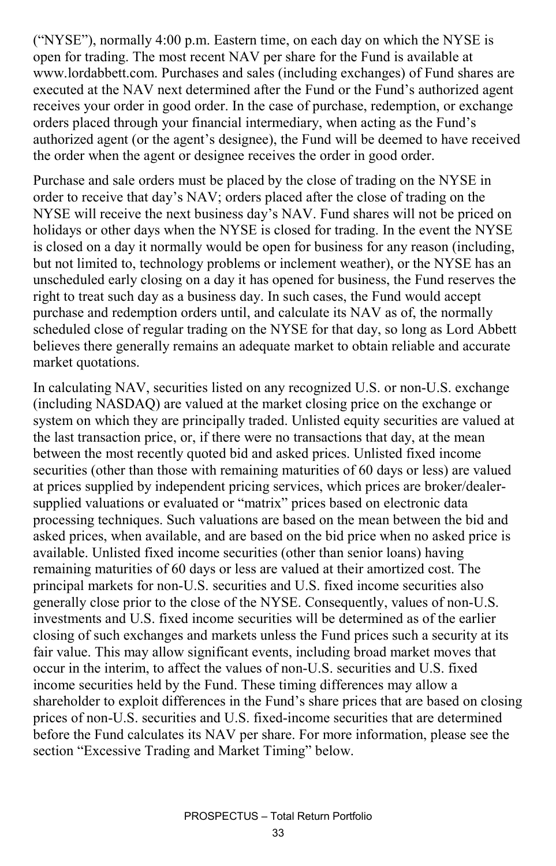("NYSE"), normally 4:00 p.m. Eastern time, on each day on which the NYSE is open for trading. The most recent NAV per share for the Fund is available at www.lordabbett.com. Purchases and sales (including exchanges) of Fund shares are executed at the NAV next determined after the Fund or the Fund's authorized agent receives your order in good order. In the case of purchase, redemption, or exchange orders placed through your financial intermediary, when acting as the Fund's authorized agent (or the agent's designee), the Fund will be deemed to have received the order when the agent or designee receives the order in good order.

Purchase and sale orders must be placed by the close of trading on the NYSE in order to receive that day's NAV; orders placed after the close of trading on the NYSE will receive the next business day's NAV. Fund shares will not be priced on holidays or other days when the NYSE is closed for trading. In the event the NYSE is closed on a day it normally would be open for business for any reason (including, but not limited to, technology problems or inclement weather), or the NYSE has an unscheduled early closing on a day it has opened for business, the Fund reserves the right to treat such day as a business day. In such cases, the Fund would accept purchase and redemption orders until, and calculate its NAV as of, the normally scheduled close of regular trading on the NYSE for that day, so long as Lord Abbett believes there generally remains an adequate market to obtain reliable and accurate market quotations.

In calculating NAV, securities listed on any recognized U.S. or non-U.S. exchange (including NASDAQ) are valued at the market closing price on the exchange or system on which they are principally traded. Unlisted equity securities are valued at the last transaction price, or, if there were no transactions that day, at the mean between the most recently quoted bid and asked prices. Unlisted fixed income securities (other than those with remaining maturities of 60 days or less) are valued at prices supplied by independent pricing services, which prices are broker/dealersupplied valuations or evaluated or "matrix" prices based on electronic data processing techniques. Such valuations are based on the mean between the bid and asked prices, when available, and are based on the bid price when no asked price is available. Unlisted fixed income securities (other than senior loans) having remaining maturities of 60 days or less are valued at their amortized cost. The principal markets for non-U.S. securities and U.S. fixed income securities also generally close prior to the close of the NYSE. Consequently, values of non-U.S. investments and U.S. fixed income securities will be determined as of the earlier closing of such exchanges and markets unless the Fund prices such a security at its fair value. This may allow significant events, including broad market moves that occur in the interim, to affect the values of non-U.S. securities and U.S. fixed income securities held by the Fund. These timing differences may allow a shareholder to exploit differences in the Fund's share prices that are based on closing prices of non-U.S. securities and U.S. fixed-income securities that are determined before the Fund calculates its NAV per share. For more information, please see the section "Excessive Trading and Market Timing" below.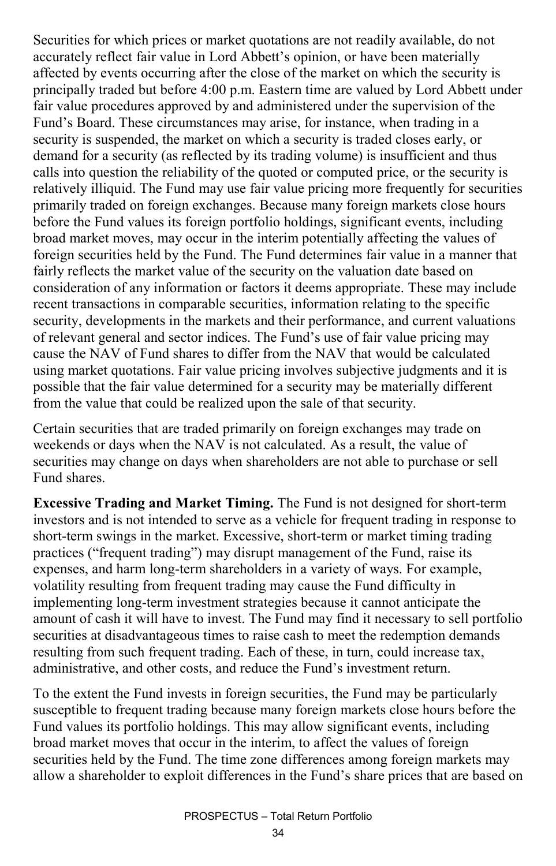Securities for which prices or market quotations are not readily available, do not accurately reflect fair value in Lord Abbett's opinion, or have been materially affected by events occurring after the close of the market on which the security is principally traded but before 4:00 p.m. Eastern time are valued by Lord Abbett under fair value procedures approved by and administered under the supervision of the Fund's Board. These circumstances may arise, for instance, when trading in a security is suspended, the market on which a security is traded closes early, or demand for a security (as reflected by its trading volume) is insufficient and thus calls into question the reliability of the quoted or computed price, or the security is relatively illiquid. The Fund may use fair value pricing more frequently for securities primarily traded on foreign exchanges. Because many foreign markets close hours before the Fund values its foreign portfolio holdings, significant events, including broad market moves, may occur in the interim potentially affecting the values of foreign securities held by the Fund. The Fund determines fair value in a manner that fairly reflects the market value of the security on the valuation date based on consideration of any information or factors it deems appropriate. These may include recent transactions in comparable securities, information relating to the specific security, developments in the markets and their performance, and current valuations of relevant general and sector indices. The Fund's use of fair value pricing may cause the NAV of Fund shares to differ from the NAV that would be calculated using market quotations. Fair value pricing involves subjective judgments and it is possible that the fair value determined for a security may be materially different from the value that could be realized upon the sale of that security.

Certain securities that are traded primarily on foreign exchanges may trade on weekends or days when the NAV is not calculated. As a result, the value of securities may change on days when shareholders are not able to purchase or sell Fund shares.

**Excessive Trading and Market Timing.** The Fund is not designed for short-term investors and is not intended to serve as a vehicle for frequent trading in response to short-term swings in the market. Excessive, short-term or market timing trading practices ("frequent trading") may disrupt management of the Fund, raise its expenses, and harm long-term shareholders in a variety of ways. For example, volatility resulting from frequent trading may cause the Fund difficulty in implementing long-term investment strategies because it cannot anticipate the amount of cash it will have to invest. The Fund may find it necessary to sell portfolio securities at disadvantageous times to raise cash to meet the redemption demands resulting from such frequent trading. Each of these, in turn, could increase tax, administrative, and other costs, and reduce the Fund's investment return.

To the extent the Fund invests in foreign securities, the Fund may be particularly susceptible to frequent trading because many foreign markets close hours before the Fund values its portfolio holdings. This may allow significant events, including broad market moves that occur in the interim, to affect the values of foreign securities held by the Fund. The time zone differences among foreign markets may allow a shareholder to exploit differences in the Fund's share prices that are based on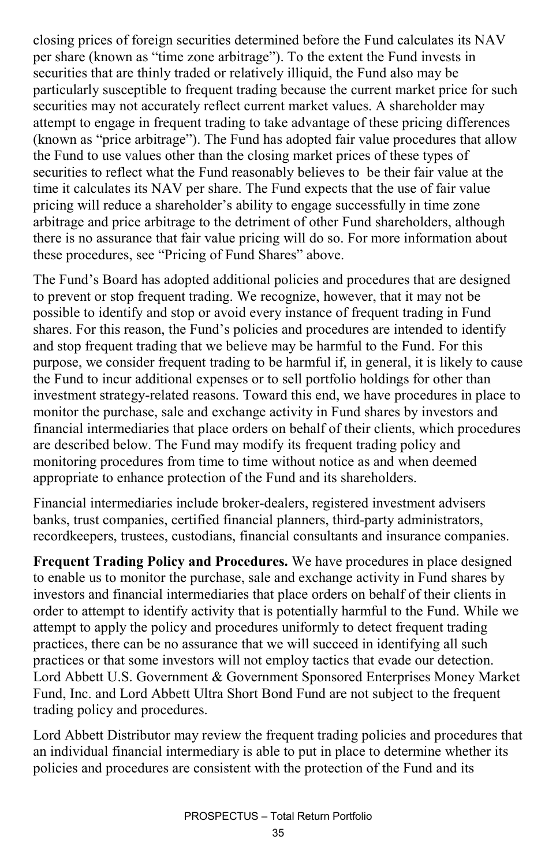closing prices of foreign securities determined before the Fund calculates its NAV per share (known as "time zone arbitrage"). To the extent the Fund invests in securities that are thinly traded or relatively illiquid, the Fund also may be particularly susceptible to frequent trading because the current market price for such securities may not accurately reflect current market values. A shareholder may attempt to engage in frequent trading to take advantage of these pricing differences (known as "price arbitrage"). The Fund has adopted fair value procedures that allow the Fund to use values other than the closing market prices of these types of securities to reflect what the Fund reasonably believes to be their fair value at the time it calculates its NAV per share. The Fund expects that the use of fair value pricing will reduce a shareholder's ability to engage successfully in time zone arbitrage and price arbitrage to the detriment of other Fund shareholders, although there is no assurance that fair value pricing will do so. For more information about these procedures, see "Pricing of Fund Shares" above.

The Fund's Board has adopted additional policies and procedures that are designed to prevent or stop frequent trading. We recognize, however, that it may not be possible to identify and stop or avoid every instance of frequent trading in Fund shares. For this reason, the Fund's policies and procedures are intended to identify and stop frequent trading that we believe may be harmful to the Fund. For this purpose, we consider frequent trading to be harmful if, in general, it is likely to cause the Fund to incur additional expenses or to sell portfolio holdings for other than investment strategy-related reasons. Toward this end, we have procedures in place to monitor the purchase, sale and exchange activity in Fund shares by investors and financial intermediaries that place orders on behalf of their clients, which procedures are described below. The Fund may modify its frequent trading policy and monitoring procedures from time to time without notice as and when deemed appropriate to enhance protection of the Fund and its shareholders.

Financial intermediaries include broker-dealers, registered investment advisers banks, trust companies, certified financial planners, third-party administrators, recordkeepers, trustees, custodians, financial consultants and insurance companies.

**Frequent Trading Policy and Procedures.** We have procedures in place designed to enable us to monitor the purchase, sale and exchange activity in Fund shares by investors and financial intermediaries that place orders on behalf of their clients in order to attempt to identify activity that is potentially harmful to the Fund. While we attempt to apply the policy and procedures uniformly to detect frequent trading practices, there can be no assurance that we will succeed in identifying all such practices or that some investors will not employ tactics that evade our detection. Lord Abbett U.S. Government & Government Sponsored Enterprises Money Market Fund, Inc. and Lord Abbett Ultra Short Bond Fund are not subject to the frequent trading policy and procedures.

Lord Abbett Distributor may review the frequent trading policies and procedures that an individual financial intermediary is able to put in place to determine whether its policies and procedures are consistent with the protection of the Fund and its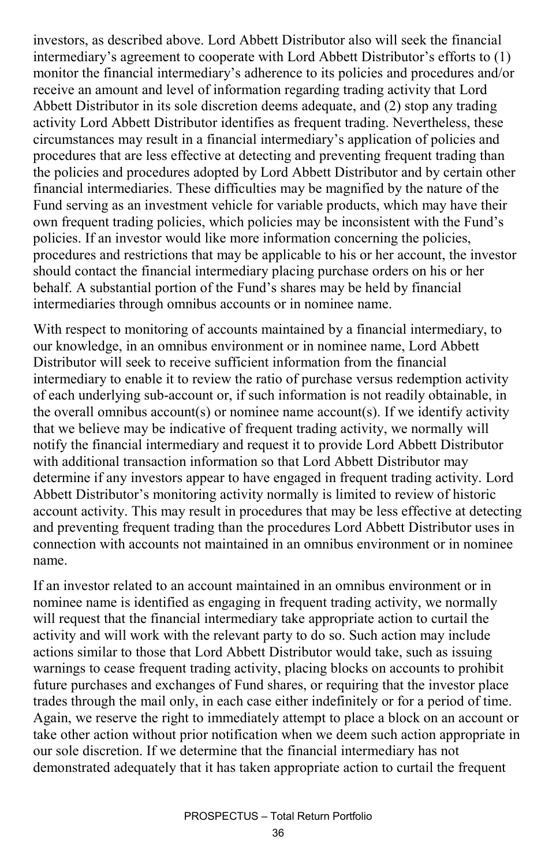investors, as described above. Lord Abbett Distributor also will seek the financial intermediary's agreement to cooperate with Lord Abbett Distributor's efforts to (1) monitor the financial intermediary's adherence to its policies and procedures and/or receive an amount and level of information regarding trading activity that Lord Abbett Distributor in its sole discretion deems adequate, and (2) stop any trading activity Lord Abbett Distributor identifies as frequent trading. Nevertheless, these circumstances may result in a financial intermediary's application of policies and procedures that are less effective at detecting and preventing frequent trading than the policies and procedures adopted by Lord Abbett Distributor and by certain other financial intermediaries. These difficulties may be magnified by the nature of the Fund serving as an investment vehicle for variable products, which may have their own frequent trading policies, which policies may be inconsistent with the Fund's policies. If an investor would like more information concerning the policies, procedures and restrictions that may be applicable to his or her account, the investor should contact the financial intermediary placing purchase orders on his or her behalf. A substantial portion of the Fund's shares may be held by financial intermediaries through omnibus accounts or in nominee name.

With respect to monitoring of accounts maintained by a financial intermediary, to our knowledge, in an omnibus environment or in nominee name, Lord Abbett Distributor will seek to receive sufficient information from the financial intermediary to enable it to review the ratio of purchase versus redemption activity of each underlying sub-account or, if such information is not readily obtainable, in the overall omnibus account(s) or nominee name account(s). If we identify activity that we believe may be indicative of frequent trading activity, we normally will notify the financial intermediary and request it to provide Lord Abbett Distributor with additional transaction information so that Lord Abbett Distributor may determine if any investors appear to have engaged in frequent trading activity. Lord Abbett Distributor's monitoring activity normally is limited to review of historic account activity. This may result in procedures that may be less effective at detecting and preventing frequent trading than the procedures Lord Abbett Distributor uses in connection with accounts not maintained in an omnibus environment or in nominee name.

If an investor related to an account maintained in an omnibus environment or in nominee name is identified as engaging in frequent trading activity, we normally will request that the financial intermediary take appropriate action to curtail the activity and will work with the relevant party to do so. Such action may include actions similar to those that Lord Abbett Distributor would take, such as issuing warnings to cease frequent trading activity, placing blocks on accounts to prohibit future purchases and exchanges of Fund shares, or requiring that the investor place trades through the mail only, in each case either indefinitely or for a period of time. Again, we reserve the right to immediately attempt to place a block on an account or take other action without prior notification when we deem such action appropriate in our sole discretion. If we determine that the financial intermediary has not demonstrated adequately that it has taken appropriate action to curtail the frequent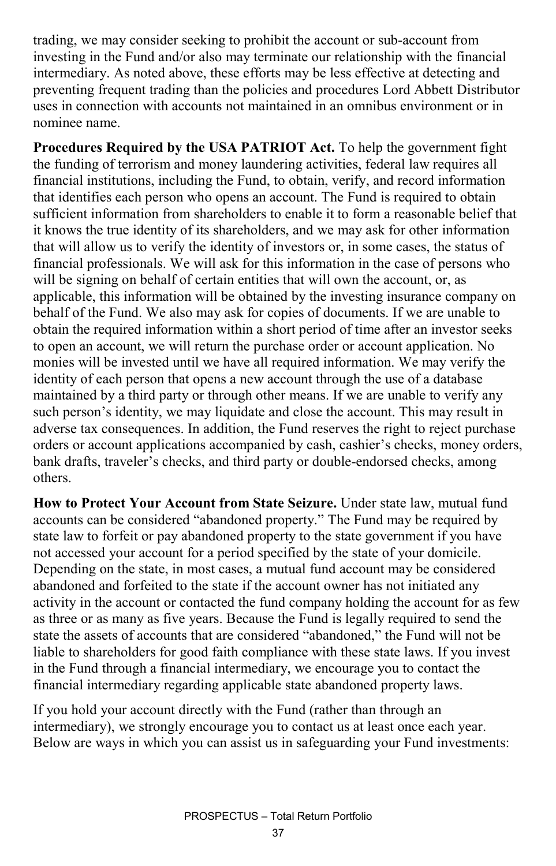trading, we may consider seeking to prohibit the account or sub-account from investing in the Fund and/or also may terminate our relationship with the financial intermediary. As noted above, these efforts may be less effective at detecting and preventing frequent trading than the policies and procedures Lord Abbett Distributor uses in connection with accounts not maintained in an omnibus environment or in nominee name.

**Procedures Required by the USA PATRIOT Act.** To help the government fight the funding of terrorism and money laundering activities, federal law requires all financial institutions, including the Fund, to obtain, verify, and record information that identifies each person who opens an account. The Fund is required to obtain sufficient information from shareholders to enable it to form a reasonable belief that it knows the true identity of its shareholders, and we may ask for other information that will allow us to verify the identity of investors or, in some cases, the status of financial professionals. We will ask for this information in the case of persons who will be signing on behalf of certain entities that will own the account, or, as applicable, this information will be obtained by the investing insurance company on behalf of the Fund. We also may ask for copies of documents. If we are unable to obtain the required information within a short period of time after an investor seeks to open an account, we will return the purchase order or account application. No monies will be invested until we have all required information. We may verify the identity of each person that opens a new account through the use of a database maintained by a third party or through other means. If we are unable to verify any such person's identity, we may liquidate and close the account. This may result in adverse tax consequences. In addition, the Fund reserves the right to reject purchase orders or account applications accompanied by cash, cashier's checks, money orders, bank drafts, traveler's checks, and third party or double-endorsed checks, among others.

**How to Protect Your Account from State Seizure.** Under state law, mutual fund accounts can be considered "abandoned property." The Fund may be required by state law to forfeit or pay abandoned property to the state government if you have not accessed your account for a period specified by the state of your domicile. Depending on the state, in most cases, a mutual fund account may be considered abandoned and forfeited to the state if the account owner has not initiated any activity in the account or contacted the fund company holding the account for as few as three or as many as five years. Because the Fund is legally required to send the state the assets of accounts that are considered "abandoned," the Fund will not be liable to shareholders for good faith compliance with these state laws. If you invest in the Fund through a financial intermediary, we encourage you to contact the financial intermediary regarding applicable state abandoned property laws.

If you hold your account directly with the Fund (rather than through an intermediary), we strongly encourage you to contact us at least once each year. Below are ways in which you can assist us in safeguarding your Fund investments: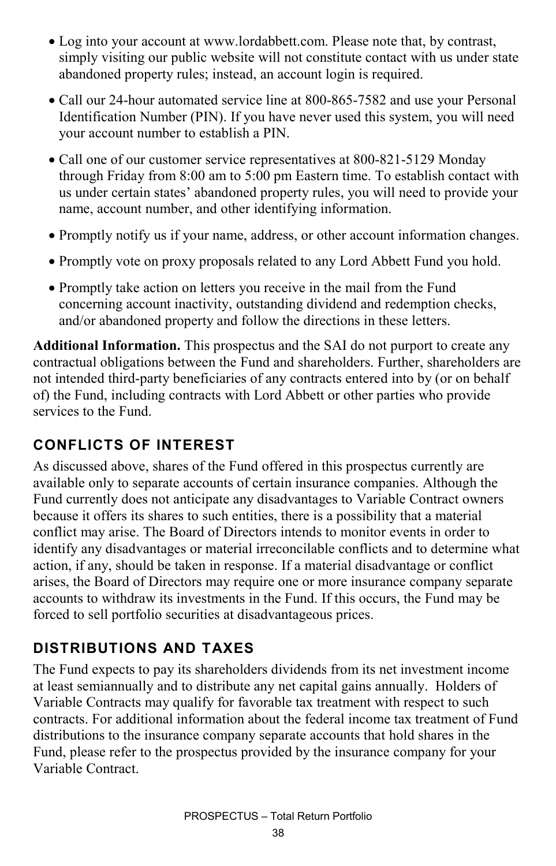- Log into your account at www.lordabbett.com. Please note that, by contrast, simply visiting our public website will not constitute contact with us under state abandoned property rules; instead, an account login is required.
- Call our 24-hour automated service line at 800-865-7582 and use your Personal Identification Number (PIN). If you have never used this system, you will need your account number to establish a PIN.
- Call one of our customer service representatives at 800-821-5129 Monday through Friday from 8:00 am to 5:00 pm Eastern time. To establish contact with us under certain states' abandoned property rules, you will need to provide your name, account number, and other identifying information.
- Promptly notify us if your name, address, or other account information changes.
- Promptly vote on proxy proposals related to any Lord Abbett Fund you hold.
- Promptly take action on letters you receive in the mail from the Fund concerning account inactivity, outstanding dividend and redemption checks, and/or abandoned property and follow the directions in these letters.

**Additional Information.** This prospectus and the SAI do not purport to create any contractual obligations between the Fund and shareholders. Further, shareholders are not intended third-party beneficiaries of any contracts entered into by (or on behalf of) the Fund, including contracts with Lord Abbett or other parties who provide services to the Fund.

### **CONFLICTS OF INTEREST**

As discussed above, shares of the Fund offered in this prospectus currently are available only to separate accounts of certain insurance companies. Although the Fund currently does not anticipate any disadvantages to Variable Contract owners because it offers its shares to such entities, there is a possibility that a material conflict may arise. The Board of Directors intends to monitor events in order to identify any disadvantages or material irreconcilable conflicts and to determine what action, if any, should be taken in response. If a material disadvantage or conflict arises, the Board of Directors may require one or more insurance company separate accounts to withdraw its investments in the Fund. If this occurs, the Fund may be forced to sell portfolio securities at disadvantageous prices.

### **DISTRIBUTIONS AND TAXES**

The Fund expects to pay its shareholders dividends from its net investment income at least semiannually and to distribute any net capital gains annually. Holders of Variable Contracts may qualify for favorable tax treatment with respect to such contracts. For additional information about the federal income tax treatment of Fund distributions to the insurance company separate accounts that hold shares in the Fund, please refer to the prospectus provided by the insurance company for your Variable Contract.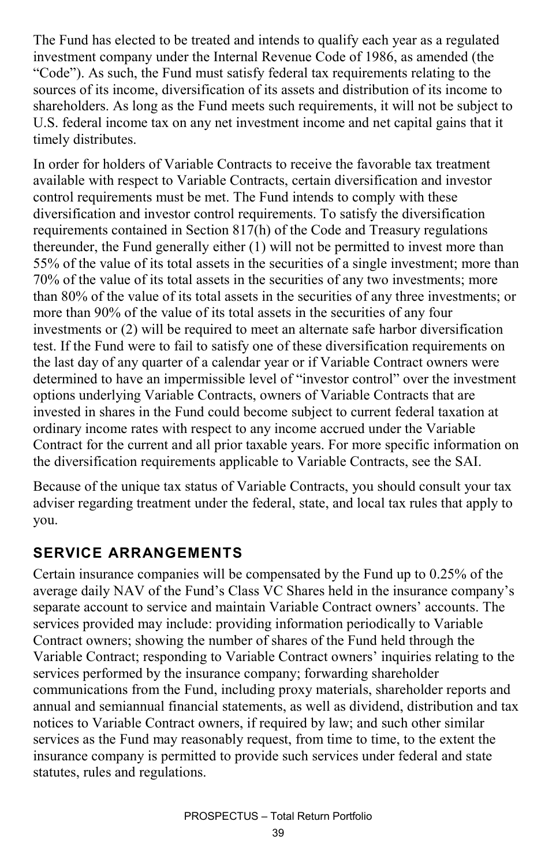The Fund has elected to be treated and intends to qualify each year as a regulated investment company under the Internal Revenue Code of 1986, as amended (the "Code"). As such, the Fund must satisfy federal tax requirements relating to the sources of its income, diversification of its assets and distribution of its income to shareholders. As long as the Fund meets such requirements, it will not be subject to U.S. federal income tax on any net investment income and net capital gains that it timely distributes.

In order for holders of Variable Contracts to receive the favorable tax treatment available with respect to Variable Contracts, certain diversification and investor control requirements must be met. The Fund intends to comply with these diversification and investor control requirements. To satisfy the diversification requirements contained in Section 817(h) of the Code and Treasury regulations thereunder, the Fund generally either (1) will not be permitted to invest more than 55% of the value of its total assets in the securities of a single investment; more than 70% of the value of its total assets in the securities of any two investments; more than 80% of the value of its total assets in the securities of any three investments; or more than 90% of the value of its total assets in the securities of any four investments or (2) will be required to meet an alternate safe harbor diversification test. If the Fund were to fail to satisfy one of these diversification requirements on the last day of any quarter of a calendar year or if Variable Contract owners were determined to have an impermissible level of "investor control" over the investment options underlying Variable Contracts, owners of Variable Contracts that are invested in shares in the Fund could become subject to current federal taxation at ordinary income rates with respect to any income accrued under the Variable Contract for the current and all prior taxable years. For more specific information on the diversification requirements applicable to Variable Contracts, see the SAI.

Because of the unique tax status of Variable Contracts, you should consult your tax adviser regarding treatment under the federal, state, and local tax rules that apply to you.

#### **SERVICE ARRANGEMENTS**

Certain insurance companies will be compensated by the Fund up to 0.25% of the average daily NAV of the Fund's Class VC Shares held in the insurance company's separate account to service and maintain Variable Contract owners' accounts. The services provided may include: providing information periodically to Variable Contract owners; showing the number of shares of the Fund held through the Variable Contract; responding to Variable Contract owners' inquiries relating to the services performed by the insurance company; forwarding shareholder communications from the Fund, including proxy materials, shareholder reports and annual and semiannual financial statements, as well as dividend, distribution and tax notices to Variable Contract owners, if required by law; and such other similar services as the Fund may reasonably request, from time to time, to the extent the insurance company is permitted to provide such services under federal and state statutes, rules and regulations.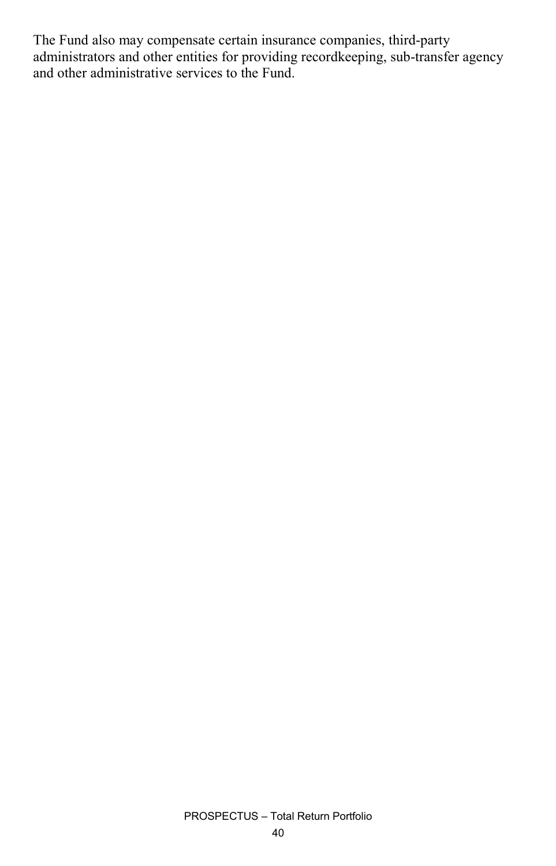The Fund also may compensate certain insurance companies, third-party administrators and other entities for providing recordkeeping, sub-transfer agency and other administrative services to the Fund.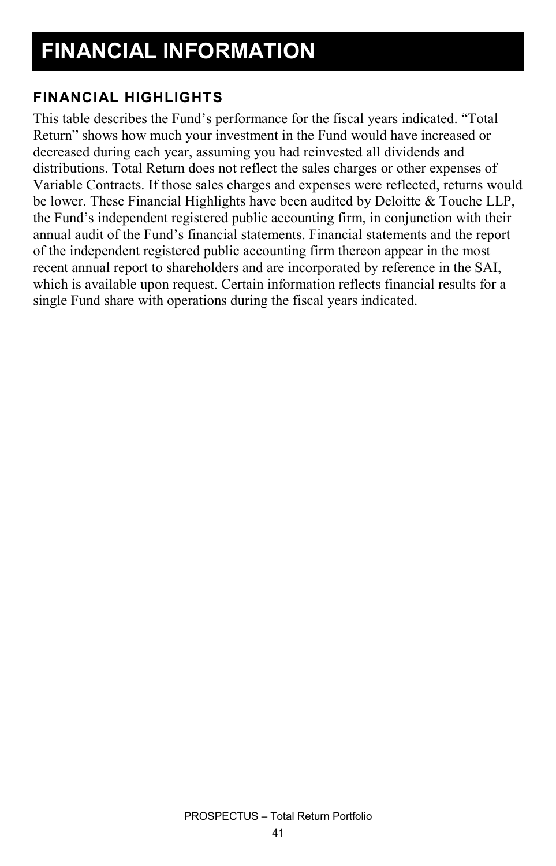#### **FINANCIAL HIGHLIGHTS**

This table describes the Fund's performance for the fiscal years indicated. "Total Return" shows how much your investment in the Fund would have increased or decreased during each year, assuming you had reinvested all dividends and distributions. Total Return does not reflect the sales charges or other expenses of Variable Contracts. If those sales charges and expenses were reflected, returns would be lower. These Financial Highlights have been audited by Deloitte & Touche LLP, the Fund's independent registered public accounting firm, in conjunction with their annual audit of the Fund's financial statements. Financial statements and the report of the independent registered public accounting firm thereon appear in the most recent annual report to shareholders and are incorporated by reference in the SAI, which is available upon request. Certain information reflects financial results for a single Fund share with operations during the fiscal years indicated.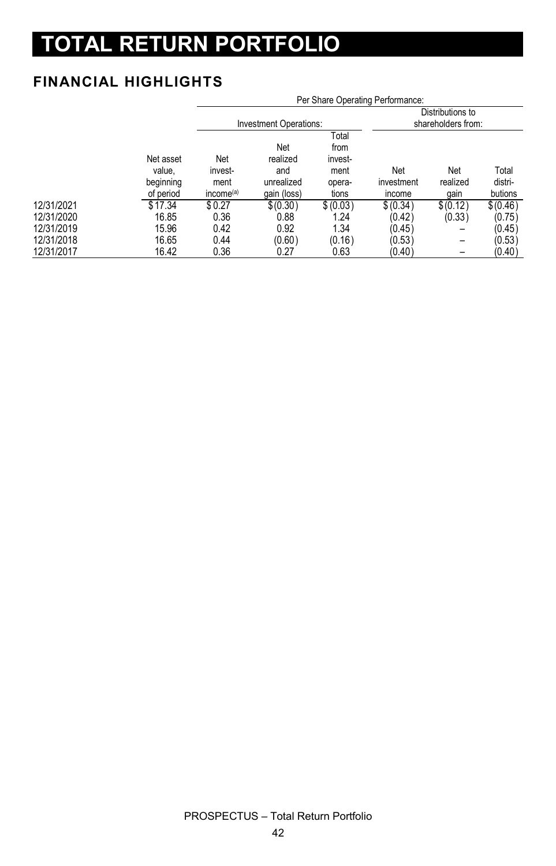# **TOTAL RETURN PORTFOLIO**

#### **FINANCIAL HIGHLIGHTS**

|            |                                               | Per Share Operating Performance:                |                                                     |                                                     |                             |                                        |                             |  |
|------------|-----------------------------------------------|-------------------------------------------------|-----------------------------------------------------|-----------------------------------------------------|-----------------------------|----------------------------------------|-----------------------------|--|
|            |                                               |                                                 | Investment Operations:                              |                                                     |                             | Distributions to<br>shareholders from: |                             |  |
|            | Net asset<br>value.<br>beginning<br>of period | Net<br>invest-<br>ment<br>income <sup>(a)</sup> | Net<br>realized<br>and<br>unrealized<br>gain (loss) | Total<br>from<br>invest-<br>ment<br>opera-<br>tions | Net<br>investment<br>income | Net<br>realized<br>gain                | Total<br>distri-<br>butions |  |
| 12/31/2021 | \$17.34                                       | \$0.27                                          | \$(0.30)                                            | \$ (0.03)                                           | \$ (0.34)                   | \$(0.12)                               | \$(0.46)                    |  |
| 12/31/2020 | 16.85                                         | 0.36                                            | 0.88                                                | 1.24                                                | (0.42)                      | (0.33)                                 | (0.75)                      |  |
| 12/31/2019 | 15.96                                         | 0.42                                            | 0.92                                                | 1.34                                                | (0.45)                      | -                                      | (0.45)                      |  |
| 12/31/2018 | 16.65                                         | 0.44                                            | (0.60)                                              | (0.16)                                              | (0.53)                      | -                                      | (0.53)                      |  |
| 12/31/2017 | 16.42                                         | 0.36                                            | 0.27                                                | 0.63                                                | (0.40)                      |                                        | (0.40)                      |  |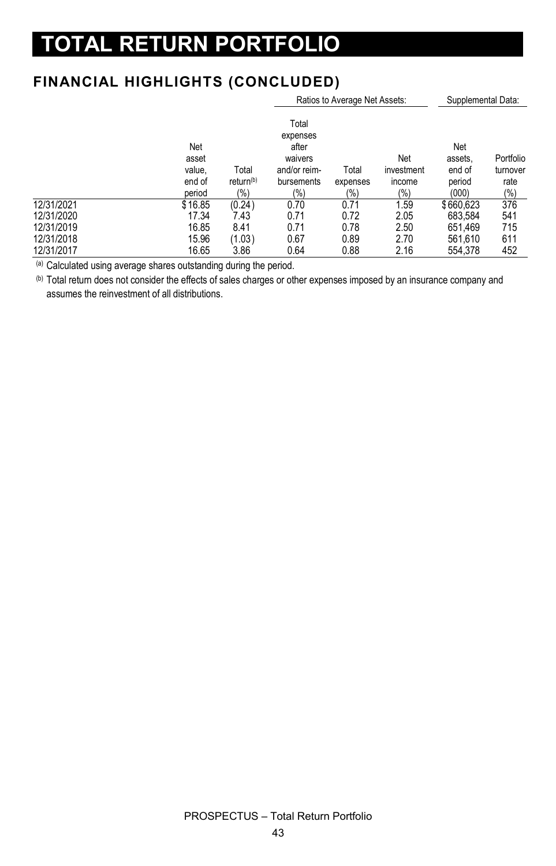## **TOTAL RETURN PORTFOLIO**

#### **FINANCIAL HIGHLIGHTS (CONCLUDED)**

|            | Ratios to Average Net Assets:              |                                       |                                                                            |                          |                                    | Supplemental Data:                          |                                      |  |
|------------|--------------------------------------------|---------------------------------------|----------------------------------------------------------------------------|--------------------------|------------------------------------|---------------------------------------------|--------------------------------------|--|
|            | Net<br>asset<br>value,<br>end of<br>period | Total<br>return <sup>(b)</sup><br>(%) | Total<br>expenses<br>after<br>waivers<br>and/or reim-<br>bursements<br>(%) | Total<br>expenses<br>(%) | Net<br>investment<br>income<br>(%) | Net<br>assets.<br>end of<br>period<br>(000) | Portfolio<br>turnover<br>rate<br>(%) |  |
| 12/31/2021 | \$16.85                                    | (0.24)                                | 0.70                                                                       | 0.71                     | 1.59                               | \$660.623                                   | 376                                  |  |
| 12/31/2020 | 17.34                                      | 7.43                                  | 0.71                                                                       | 0.72                     | 2.05                               | 683.584                                     | 541                                  |  |
| 12/31/2019 | 16.85                                      | 8.41                                  | 0.71                                                                       | 0.78                     | 2.50                               | 651.469                                     | 715                                  |  |
| 12/31/2018 | 15.96                                      | (1.03)                                | 0.67                                                                       | 0.89                     | 2.70                               | 561.610                                     | 611                                  |  |
| 12/31/2017 | 16.65                                      | 3.86                                  | 0.64                                                                       | 0.88                     | 2.16                               | 554.378                                     | 452                                  |  |

(a) Calculated using average shares outstanding during the period.

(b) Total return does not consider the effects of sales charges or other expenses imposed by an insurance company and assumes the reinvestment of all distributions.